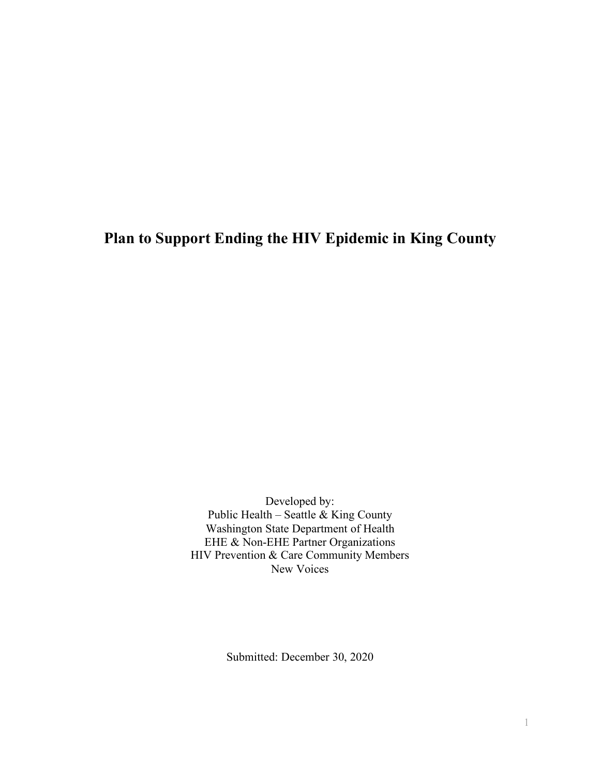# **Plan to Support Ending the HIV Epidemic in King County**

Developed by: Public Health – Seattle  $\&$  King County Washington State Department of Health EHE & Non-EHE Partner Organizations HIV Prevention & Care Community Members New Voices

Submitted: December 30, 2020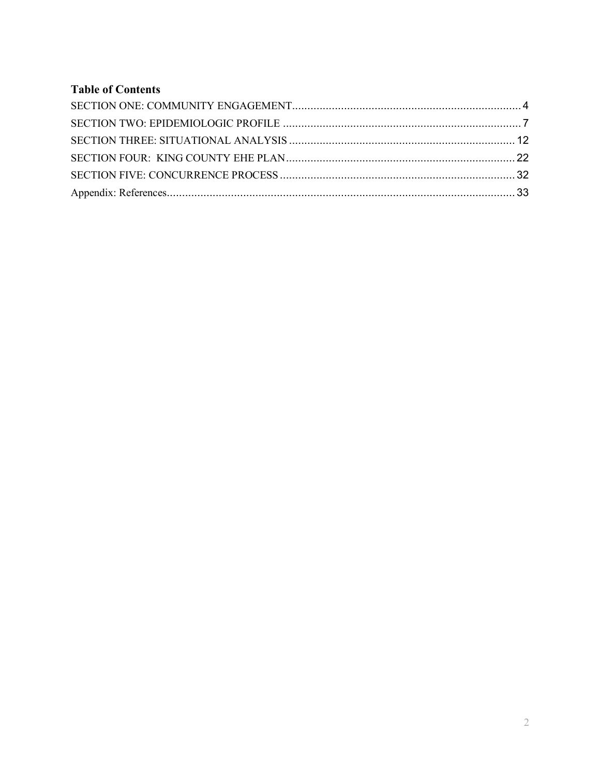# **Table of Contents**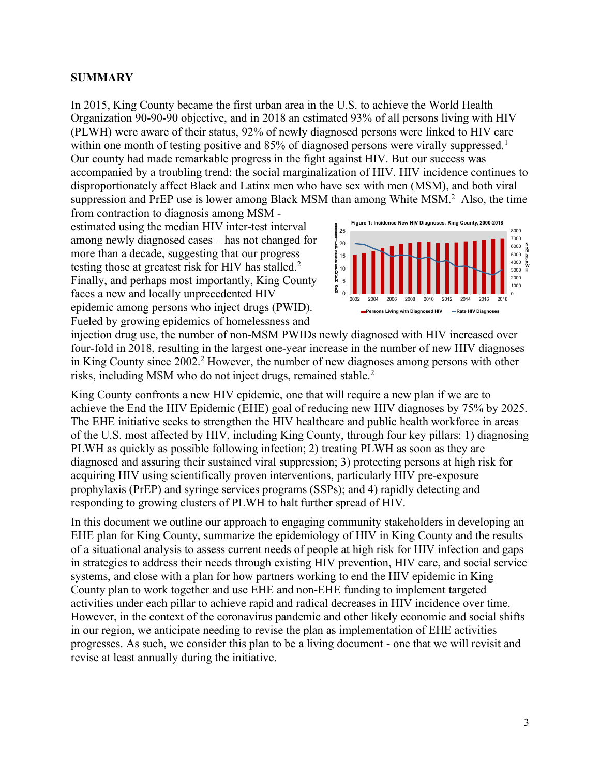### **SUMMARY**

In 2015, King County became the first urban area in the U.S. to achieve the World Health Organization 90-90-90 objective, and in 2018 an estimated 93% of all persons living with HIV (PLWH) were aware of their status, 92% of newly diagnosed persons were linked to HIV care within one month of testing positive and 85% of diagnosed persons were virally suppressed.<sup>1</sup> Our county had made remarkable progress in the fight against HIV. But our success was accompanied by a troubling trend: the social marginalization of HIV. HIV incidence continues to disproportionately affect Black and Latinx men who have sex with men (MSM), and both viral suppression and PrEP use is lower among Black MSM than among White MSM.<sup>2</sup> Also, the time

from contraction to diagnosis among MSM estimated using the median HIV inter-test interval among newly diagnosed cases – has not changed for more than a decade, suggesting that our progress testing those at greatest risk for HIV has stalled.<sup>2</sup> Finally, and perhaps most importantly, King County faces a new and locally unprecedented HIV epidemic among persons who inject drugs (PWID). Fueled by growing epidemics of homelessness and



injection drug use, the number of non-MSM PWIDs newly diagnosed with HIV increased over four-fold in 2018, resulting in the largest one-year increase in the number of new HIV diagnoses in King County since 2002.<sup>2</sup> However, the number of new diagnoses among persons with other risks, including MSM who do not inject drugs, remained stable. 2

King County confronts a new HIV epidemic, one that will require a new plan if we are to achieve the End the HIV Epidemic (EHE) goal of reducing new HIV diagnoses by 75% by 2025. The EHE initiative seeks to strengthen the HIV healthcare and public health workforce in areas of the U.S. most affected by HIV, including King County, through four key pillars: 1) diagnosing PLWH as quickly as possible following infection; 2) treating PLWH as soon as they are diagnosed and assuring their sustained viral suppression; 3) protecting persons at high risk for acquiring HIV using scientifically proven interventions, particularly HIV pre-exposure prophylaxis (PrEP) and syringe services programs (SSPs); and 4) rapidly detecting and responding to growing clusters of PLWH to halt further spread of HIV.

In this document we outline our approach to engaging community stakeholders in developing an EHE plan for King County, summarize the epidemiology of HIV in King County and the results of a situational analysis to assess current needs of people at high risk for HIV infection and gaps in strategies to address their needs through existing HIV prevention, HIV care, and social service systems, and close with a plan for how partners working to end the HIV epidemic in King County plan to work together and use EHE and non-EHE funding to implement targeted activities under each pillar to achieve rapid and radical decreases in HIV incidence over time. However, in the context of the coronavirus pandemic and other likely economic and social shifts in our region, we anticipate needing to revise the plan as implementation of EHE activities progresses. As such, we consider this plan to be a living document - one that we will revisit and revise at least annually during the initiative.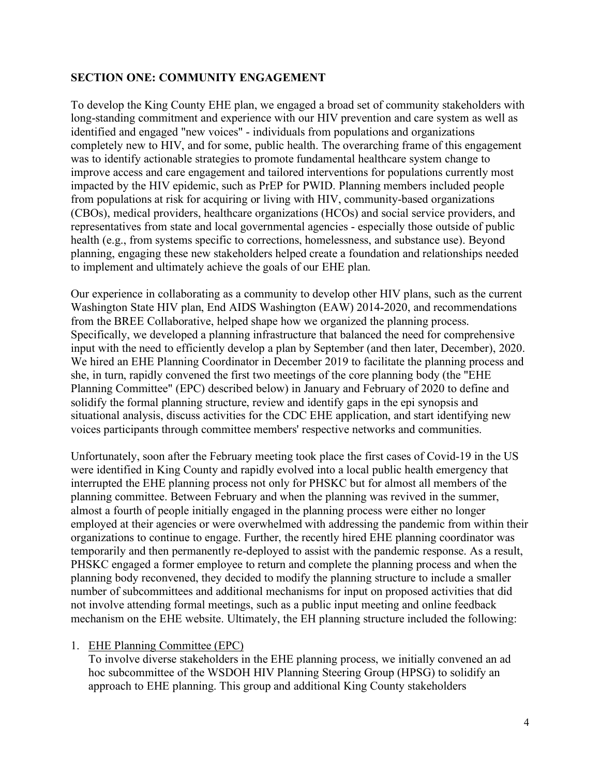### **SECTION ONE: COMMUNITY ENGAGEMENT**

To develop the King County EHE plan, we engaged a broad set of community stakeholders with long-standing commitment and experience with our HIV prevention and care system as well as identified and engaged "new voices" - individuals from populations and organizations completely new to HIV, and for some, public health. The overarching frame of this engagement was to identify actionable strategies to promote fundamental healthcare system change to improve access and care engagement and tailored interventions for populations currently most impacted by the HIV epidemic, such as PrEP for PWID. Planning members included people from populations at risk for acquiring or living with HIV, community-based organizations (CBOs), medical providers, healthcare organizations (HCOs) and social service providers, and representatives from state and local governmental agencies - especially those outside of public health (e.g., from systems specific to corrections, homelessness, and substance use). Beyond planning, engaging these new stakeholders helped create a foundation and relationships needed to implement and ultimately achieve the goals of our EHE plan.

Our experience in collaborating as a community to develop other HIV plans, such as the current Washington State HIV plan, End AIDS Washington (EAW) 2014-2020, and recommendations from the BREE Collaborative, helped shape how we organized the planning process. Specifically, we developed a planning infrastructure that balanced the need for comprehensive input with the need to efficiently develop a plan by September (and then later, December), 2020. We hired an EHE Planning Coordinator in December 2019 to facilitate the planning process and she, in turn, rapidly convened the first two meetings of the core planning body (the "EHE Planning Committee" (EPC) described below) in January and February of 2020 to define and solidify the formal planning structure, review and identify gaps in the epi synopsis and situational analysis, discuss activities for the CDC EHE application, and start identifying new voices participants through committee members' respective networks and communities.

Unfortunately, soon after the February meeting took place the first cases of Covid-19 in the US were identified in King County and rapidly evolved into a local public health emergency that interrupted the EHE planning process not only for PHSKC but for almost all members of the planning committee. Between February and when the planning was revived in the summer, almost a fourth of people initially engaged in the planning process were either no longer employed at their agencies or were overwhelmed with addressing the pandemic from within their organizations to continue to engage. Further, the recently hired EHE planning coordinator was temporarily and then permanently re-deployed to assist with the pandemic response. As a result, PHSKC engaged a former employee to return and complete the planning process and when the planning body reconvened, they decided to modify the planning structure to include a smaller number of subcommittees and additional mechanisms for input on proposed activities that did not involve attending formal meetings, such as a public input meeting and online feedback mechanism on the EHE website. Ultimately, the EH planning structure included the following:

### 1. EHE Planning Committee (EPC)

To involve diverse stakeholders in the EHE planning process, we initially convened an ad hoc subcommittee of the WSDOH HIV Planning Steering Group (HPSG) to solidify an approach to EHE planning. This group and additional King County stakeholders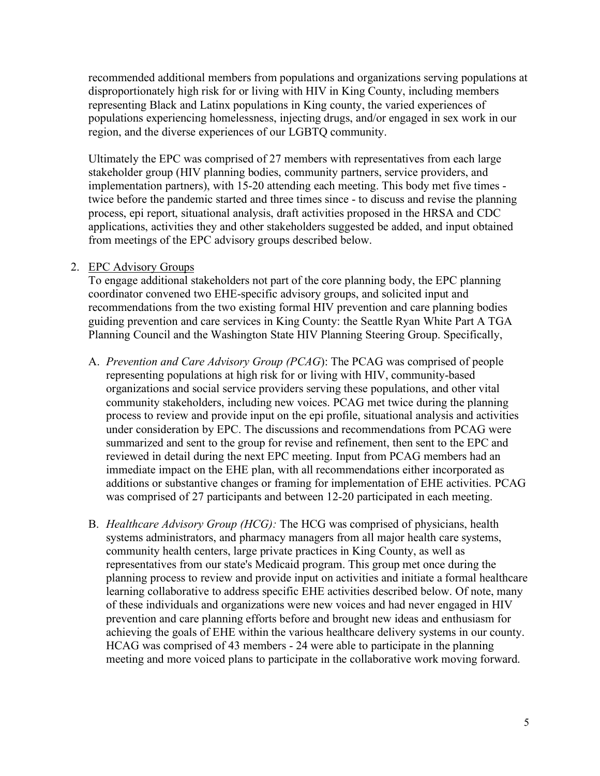recommended additional members from populations and organizations serving populations at disproportionately high risk for or living with HIV in King County, including members representing Black and Latinx populations in King county, the varied experiences of populations experiencing homelessness, injecting drugs, and/or engaged in sex work in our region, and the diverse experiences of our LGBTQ community.

Ultimately the EPC was comprised of 27 members with representatives from each large stakeholder group (HIV planning bodies, community partners, service providers, and implementation partners), with 15-20 attending each meeting. This body met five times twice before the pandemic started and three times since - to discuss and revise the planning process, epi report, situational analysis, draft activities proposed in the HRSA and CDC applications, activities they and other stakeholders suggested be added, and input obtained from meetings of the EPC advisory groups described below.

#### 2. EPC Advisory Groups

To engage additional stakeholders not part of the core planning body, the EPC planning coordinator convened two EHE-specific advisory groups, and solicited input and recommendations from the two existing formal HIV prevention and care planning bodies guiding prevention and care services in King County: the Seattle Ryan White Part A TGA Planning Council and the Washington State HIV Planning Steering Group. Specifically,

- A. *Prevention and Care Advisory Group (PCAG*): The PCAG was comprised of people representing populations at high risk for or living with HIV, community-based organizations and social service providers serving these populations, and other vital community stakeholders, including new voices. PCAG met twice during the planning process to review and provide input on the epi profile, situational analysis and activities under consideration by EPC. The discussions and recommendations from PCAG were summarized and sent to the group for revise and refinement, then sent to the EPC and reviewed in detail during the next EPC meeting. Input from PCAG members had an immediate impact on the EHE plan, with all recommendations either incorporated as additions or substantive changes or framing for implementation of EHE activities. PCAG was comprised of 27 participants and between 12-20 participated in each meeting.
- B. *Healthcare Advisory Group (HCG):* The HCG was comprised of physicians, health systems administrators, and pharmacy managers from all major health care systems, community health centers, large private practices in King County, as well as representatives from our state's Medicaid program. This group met once during the planning process to review and provide input on activities and initiate a formal healthcare learning collaborative to address specific EHE activities described below. Of note, many of these individuals and organizations were new voices and had never engaged in HIV prevention and care planning efforts before and brought new ideas and enthusiasm for achieving the goals of EHE within the various healthcare delivery systems in our county. HCAG was comprised of 43 members - 24 were able to participate in the planning meeting and more voiced plans to participate in the collaborative work moving forward.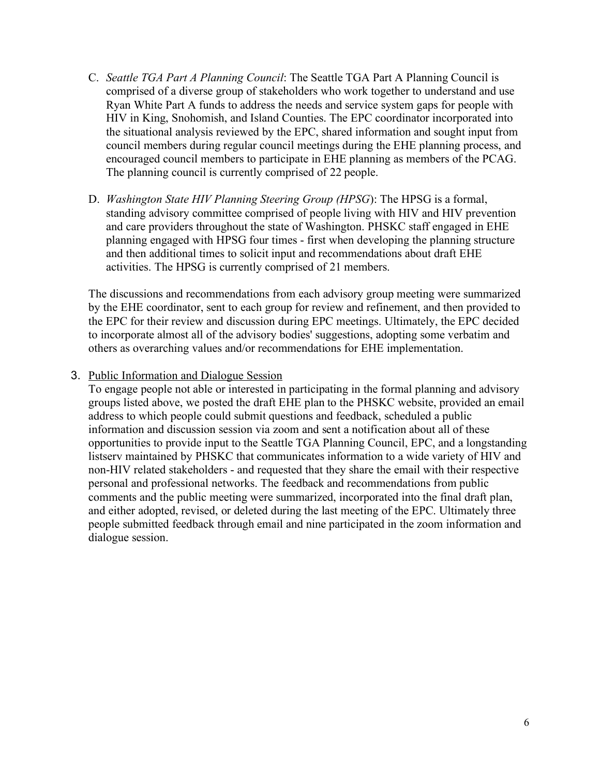- C. *Seattle TGA Part A Planning Council*: The Seattle TGA Part A Planning Council is comprised of a diverse group of stakeholders who work together to understand and use Ryan White Part A funds to address the needs and service system gaps for people with HIV in King, Snohomish, and Island Counties. The EPC coordinator incorporated into the situational analysis reviewed by the EPC, shared information and sought input from council members during regular council meetings during the EHE planning process, and encouraged council members to participate in EHE planning as members of the PCAG. The planning council is currently comprised of 22 people.
- D. *Washington State HIV Planning Steering Group (HPSG*): The HPSG is a formal, standing advisory committee comprised of people living with HIV and HIV prevention and care providers throughout the state of Washington. PHSKC staff engaged in EHE planning engaged with HPSG four times - first when developing the planning structure and then additional times to solicit input and recommendations about draft EHE activities. The HPSG is currently comprised of 21 members.

The discussions and recommendations from each advisory group meeting were summarized by the EHE coordinator, sent to each group for review and refinement, and then provided to the EPC for their review and discussion during EPC meetings. Ultimately, the EPC decided to incorporate almost all of the advisory bodies' suggestions, adopting some verbatim and others as overarching values and/or recommendations for EHE implementation.

### 3. Public Information and Dialogue Session

To engage people not able or interested in participating in the formal planning and advisory groups listed above, we posted the draft EHE plan to the PHSKC website, provided an email address to which people could submit questions and feedback, scheduled a public information and discussion session via zoom and sent a notification about all of these opportunities to provide input to the Seattle TGA Planning Council, EPC, and a longstanding listserv maintained by PHSKC that communicates information to a wide variety of HIV and non-HIV related stakeholders - and requested that they share the email with their respective personal and professional networks. The feedback and recommendations from public comments and the public meeting were summarized, incorporated into the final draft plan, and either adopted, revised, or deleted during the last meeting of the EPC. Ultimately three people submitted feedback through email and nine participated in the zoom information and dialogue session.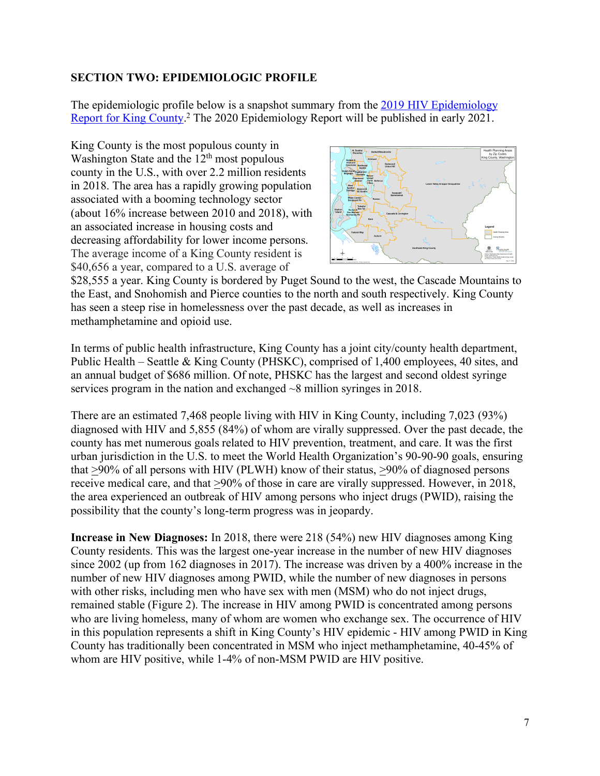### **SECTION TWO: EPIDEMIOLOGIC PROFILE**

The epidemiologic profile below is a snapshot summary from the 2019 HIV Epidemiology Report for King County.<sup>2</sup> The 2020 Epidemiology Report will be published in early 2021.

King County is the most populous county in Washington State and the  $12<sup>th</sup>$  most populous county in the U.S., with over 2.2 million residents in 2018. The area has a rapidly growing population associated with a booming technology sector (about 16% increase between 2010 and 2018), with an associated increase in housing costs and decreasing affordability for lower income persons. The average income of a King County resident is \$40,656 a year, compared to a U.S. average of



\$28,555 a year. King County is bordered by Puget Sound to the west, the Cascade Mountains to the East, and Snohomish and Pierce counties to the north and south respectively. King County has seen a steep rise in homelessness over the past decade, as well as increases in methamphetamine and opioid use.

In terms of public health infrastructure, King County has a joint city/county health department, Public Health – Seattle & King County (PHSKC), comprised of 1,400 employees, 40 sites, and an annual budget of \$686 million. Of note, PHSKC has the largest and second oldest syringe services program in the nation and exchanged ~8 million syringes in 2018.

There are an estimated 7,468 people living with HIV in King County, including 7,023 (93%) diagnosed with HIV and 5,855 (84%) of whom are virally suppressed. Over the past decade, the county has met numerous goals related to HIV prevention, treatment, and care. It was the first urban jurisdiction in the U.S. to meet the World Health Organization's 90-90-90 goals, ensuring that >90% of all persons with HIV (PLWH) know of their status, >90% of diagnosed persons receive medical care, and that >90% of those in care are virally suppressed. However, in 2018, the area experienced an outbreak of HIV among persons who inject drugs (PWID), raising the possibility that the county's long-term progress was in jeopardy.

**Increase in New Diagnoses:** In 2018, there were 218 (54%) new HIV diagnoses among King County residents. This was the largest one-year increase in the number of new HIV diagnoses since 2002 (up from 162 diagnoses in 2017). The increase was driven by a 400% increase in the number of new HIV diagnoses among PWID, while the number of new diagnoses in persons with other risks, including men who have sex with men (MSM) who do not inject drugs, remained stable (Figure 2). The increase in HIV among PWID is concentrated among persons who are living homeless, many of whom are women who exchange sex. The occurrence of HIV in this population represents a shift in King County's HIV epidemic - HIV among PWID in King County has traditionally been concentrated in MSM who inject methamphetamine, 40-45% of whom are HIV positive, while 1-4% of non-MSM PWID are HIV positive.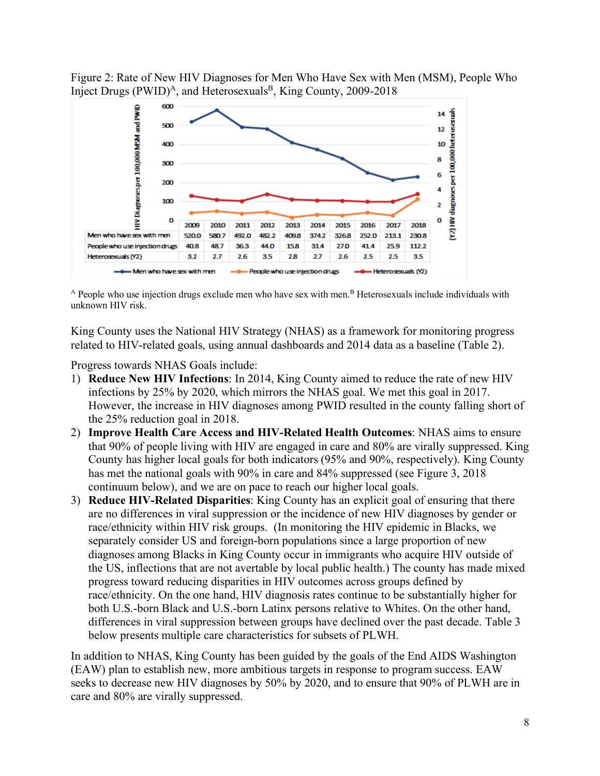Figure 2: Rate of New HIV Diagnoses for Men Who Have Sex with Men (MSM), People Who Inject Drugs  $(PWID)^A$ , and Heterosexuals<sup>B</sup>, King County, 2009-2018



<sup>A</sup> People who use injection drugs exclude men who have sex with men.<sup>B</sup> Heterosexuals include individuals with unknown HIV risk.

King County uses the National HIV Strategy (NHAS) as a framework for monitoring progress related to HIV-related goals, using annual dashboards and 2014 data as a baseline (Table 2).

Progress towards NHAS Goals include:

- 1) **Reduce New HIV Infections**: In 2014, King County aimed to reduce the rate of new HIV infections by 25% by 2020, which mirrors the NHAS goal. We met this goal in 2017. However, the increase in HIV diagnoses among PWID resulted in the county falling short of the 25% reduction goal in 2018.
- 2) **Improve Health Care Access and HIV-Related Health Outcomes**: NHAS aims to ensure that 90% of people living with HIV are engaged in care and 80% are virally suppressed. King County has higher local goals for both indicators (95% and 90%, respectively). King County has met the national goals with 90% in care and 84% suppressed (see Figure 3, 2018) continuum below), and we are on pace to reach our higher local goals.
- 3) **Reduce HIV-Related Disparities**: King County has an explicit goal of ensuring that there are no differences in viral suppression or the incidence of new HIV diagnoses by gender or race/ethnicity within HIV risk groups. (In monitoring the HIV epidemic in Blacks, we separately consider US and foreign-born populations since a large proportion of new diagnoses among Blacks in King County occur in immigrants who acquire HIV outside of the US, inflections that are not avertable by local public health.) The county has made mixed progress toward reducing disparities in HIV outcomes across groups defined by race/ethnicity. On the one hand, HIV diagnosis rates continue to be substantially higher for both U.S.-born Black and U.S.-born Latinx persons relative to Whites. On the other hand, differences in viral suppression between groups have declined over the past decade. Table 3 below presents multiple care characteristics for subsets of PLWH.

In addition to NHAS, King County has been guided by the goals of the End AIDS Washington (EAW) plan to establish new, more ambitious targets in response to program success. EAW seeks to decrease new HIV diagnoses by 50% by 2020, and to ensure that 90% of PLWH are in care and 80% are virally suppressed.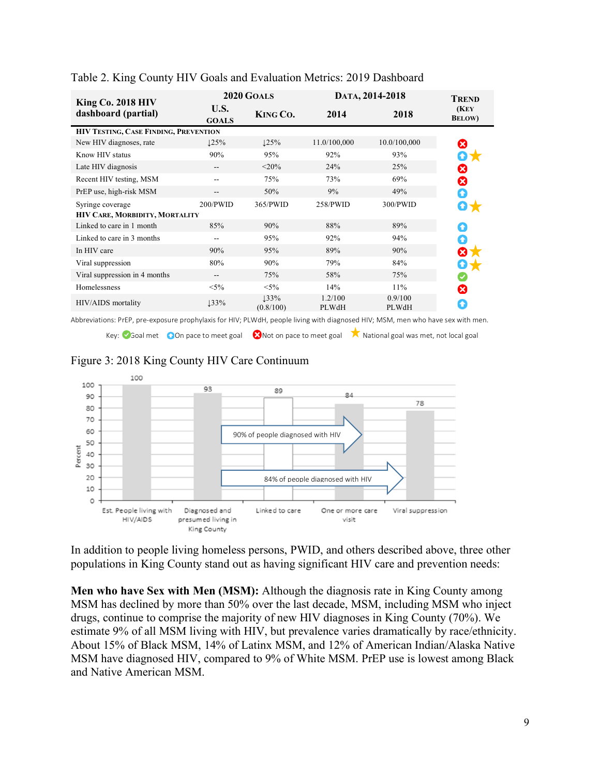| King Co. 2018 HIV                     | 2020 GOALS           |                   | DATA, 2014-2018  |                  | <b>TREND</b>            |
|---------------------------------------|----------------------|-------------------|------------------|------------------|-------------------------|
| dashboard (partial)                   | U.S.<br><b>GOALS</b> | KING CO.          | 2014             | 2018             | (KEY)<br><b>BELOW</b> ) |
| HIV TESTING, CASE FINDING, PREVENTION |                      |                   |                  |                  |                         |
| New HIV diagnoses, rate               | 125%                 | 125%              | 11.0/100,000     | 10.0/100,000     | ೞ                       |
| Know HIV status                       | 90%                  | 95%               | 92%              | 93%              | 07                      |
| Late HIV diagnosis                    | --                   | $<$ 20%           | 24%              | 25%              | ೞ                       |
| Recent HIV testing, MSM               |                      | 75%               | 73%              | 69%              | ೞ                       |
| PrEP use, high-risk MSM               | --                   | 50%               | 9%               | 49%              | Q                       |
| Syringe coverage                      | 200/PWID             | 365/PWID          | 258/PWID         | 300/PWID         |                         |
| HIV CARE, MORBIDITY, MORTALITY        |                      |                   |                  |                  |                         |
| Linked to care in 1 month             | 85%                  | 90%               | 88%              | 89%              |                         |
| Linked to care in 3 months            |                      | 95%               | 92%              | 94%              | ◆                       |
| In HIV care                           | 90%                  | 95%               | 89%              | 90%              | ⊗                       |
| Viral suppression                     | 80%                  | 90%               | 79%              | 84%              | O J                     |
| Viral suppression in 4 months         | --                   | 75%               | 58%              | 75%              |                         |
| Homelessness                          | $< 5\%$              | $< 5\%$           | 14%              | 11%              | ೞ                       |
| HIV/AIDS mortality                    | 133%                 | 133%<br>(0.8/100) | 1.2/100<br>PLWdH | 0.9/100<br>PLWdH | ٠                       |

#### Table 2. King County HIV Goals and Evaluation Metrics: 2019 Dashboard

Abbreviations: PrEP, pre-exposure prophylaxis for HIV; PLWdH, people living with diagnosed HIV; MSM, men who have sex with men.

Key: 3Goal met 60 On pace to meet goal 8 Not on pace to meet goal 1 National goal was met, not local goal





In addition to people living homeless persons, PWID, and others described above, three other populations in King County stand out as having significant HIV care and prevention needs:

**Men who have Sex with Men (MSM):** Although the diagnosis rate in King County among MSM has declined by more than 50% over the last decade, MSM, including MSM who inject drugs, continue to comprise the majority of new HIV diagnoses in King County (70%). We estimate 9% of all MSM living with HIV, but prevalence varies dramatically by race/ethnicity. About 15% of Black MSM, 14% of Latinx MSM, and 12% of American Indian/Alaska Native MSM have diagnosed HIV, compared to 9% of White MSM. PrEP use is lowest among Black and Native American MSM.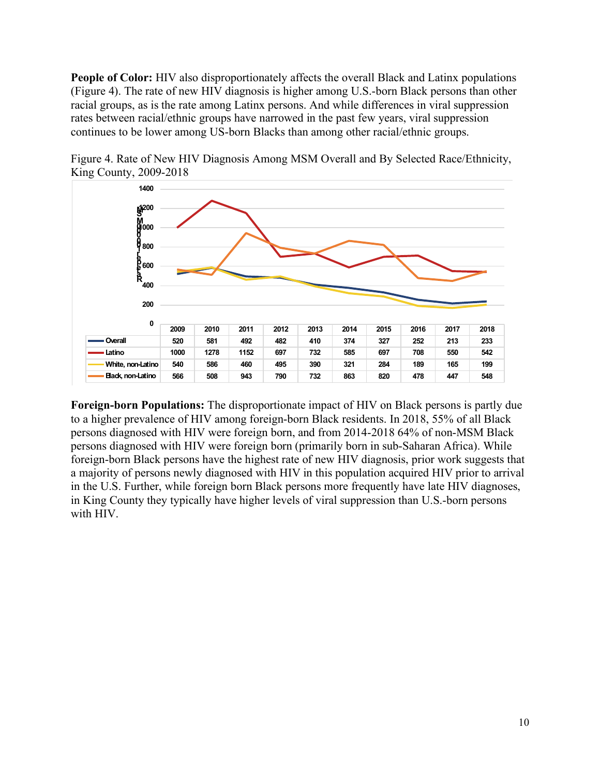**People of Color:** HIV also disproportionately affects the overall Black and Latinx populations (Figure 4). The rate of new HIV diagnosis is higher among U.S.-born Black persons than other racial groups, as is the rate among Latinx persons. And while differences in viral suppression rates between racial/ethnic groups have narrowed in the past few years, viral suppression continues to be lower among US-born Blacks than among other racial/ethnic groups.



Figure 4. Rate of New HIV Diagnosis Among MSM Overall and By Selected Race/Ethnicity, King County, 2009-2018

**Foreign-born Populations:** The disproportionate impact of HIV on Black persons is partly due to a higher prevalence of HIV among foreign-born Black residents. In 2018, 55% of all Black persons diagnosed with HIV were foreign born, and from 2014-2018 64% of non-MSM Black persons diagnosed with HIV were foreign born (primarily born in sub-Saharan Africa). While foreign-born Black persons have the highest rate of new HIV diagnosis, prior work suggests that a majority of persons newly diagnosed with HIV in this population acquired HIV prior to arrival in the U.S. Further, while foreign born Black persons more frequently have late HIV diagnoses, in King County they typically have higher levels of viral suppression than U.S.-born persons with HIV.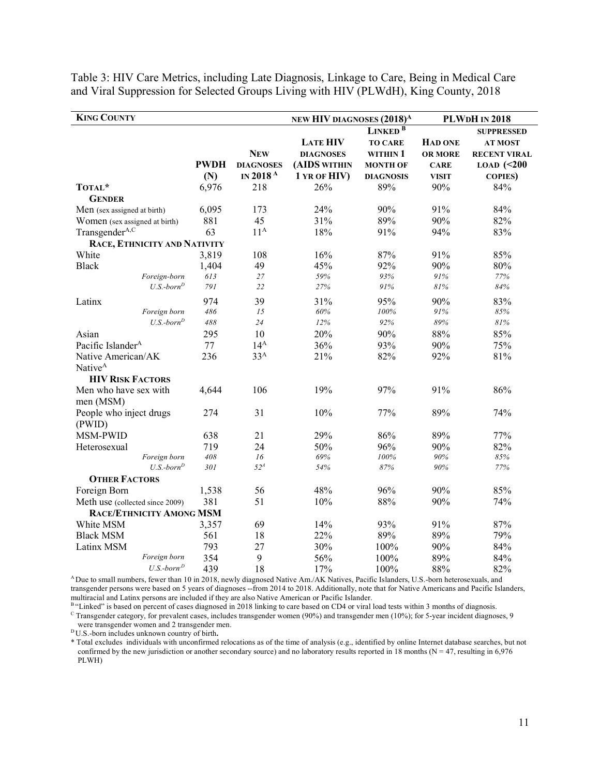| <b>KING COUNTY</b>              |             |                      | NEW HIV DIAGNOSES (2018) <sup>A</sup> |                     |                | <b>PLWDH IN 2018</b> |
|---------------------------------|-------------|----------------------|---------------------------------------|---------------------|----------------|----------------------|
|                                 |             |                      |                                       | LINKED <sup>B</sup> |                | <b>SUPPRESSED</b>    |
|                                 |             |                      | <b>LATE HIV</b>                       | <b>TO CARE</b>      | <b>HAD ONE</b> | <b>AT MOST</b>       |
|                                 |             | <b>NEW</b>           | <b>DIAGNOSES</b>                      | WITHIN 1            | <b>OR MORE</b> | <b>RECENT VIRAL</b>  |
|                                 | <b>PWDH</b> | <b>DIAGNOSES</b>     | (AIDS WITHIN                          | <b>MONTH OF</b>     | <b>CARE</b>    | $LOAD$ (<200         |
|                                 | (N)         | IN 2018 <sup>A</sup> | 1 YR OF HIV)                          | <b>DIAGNOSIS</b>    | <b>VISIT</b>   | <b>COPIES</b> )      |
| TOTAL*                          | 6,976       | 218                  | 26%                                   | 89%                 | 90%            | 84%                  |
| <b>GENDER</b>                   |             |                      |                                       |                     |                |                      |
| Men (sex assigned at birth)     | 6,095       | 173                  | 24%                                   | 90%                 | 91%            | 84%                  |
| Women (sex assigned at birth)   | 881         | 45                   | 31%                                   | 89%                 | 90%            | 82%                  |
| Transgender <sup>A,C</sup>      | 63          | $11^A$               | 18%                                   | 91%                 | 94%            | 83%                  |
| RACE, ETHNICITY AND NATIVITY    |             |                      |                                       |                     |                |                      |
| White                           | 3,819       | 108                  | 16%                                   | 87%                 | 91%            | 85%                  |
| <b>Black</b>                    | 1,404       | 49                   | 45%                                   | 92%                 | 90%            | 80%                  |
| Foreign-born                    | 613         | 27                   | 59%                                   | 93%                 | 91%            | 77%                  |
| $U.S.-bornD$                    | 791         | 22                   | 27%                                   | 91%                 | 81%            | 84%                  |
| Latinx                          | 974         | 39                   | 31%                                   | 95%                 | 90%            | 83%                  |
| Foreign born                    | 486         | 15                   | 60%                                   | 100%                | 91%            | 85%                  |
| $U.S.-bornD$                    | 488         | 24                   | 12%                                   | 92%                 | 89%            | $81\%$               |
| Asian                           | 295         | 10                   | 20%                                   | 90%                 | 88%            | 85%                  |
| Pacific Islander <sup>A</sup>   | 77          | 14 <sup>A</sup>      | 36%                                   | 93%                 | 90%            | 75%                  |
| Native American/AK              | 236         | 33 <sup>A</sup>      | 21%                                   | 82%                 | 92%            | 81%                  |
| Native <sup>A</sup>             |             |                      |                                       |                     |                |                      |
| <b>HIV RISK FACTORS</b>         |             |                      |                                       |                     |                |                      |
| Men who have sex with           | 4,644       | 106                  | 19%                                   | 97%                 | 91%            | 86%                  |
| men (MSM)                       |             |                      |                                       |                     |                |                      |
| People who inject drugs         | 274         | 31                   | 10%                                   | 77%                 | 89%            | 74%                  |
| (PWID)                          |             |                      |                                       |                     |                |                      |
| MSM-PWID                        | 638         | 21                   | 29%                                   | 86%                 | 89%            | 77%                  |
| Heterosexual                    | 719         | 24                   | 50%                                   | 96%                 | 90%            | 82%                  |
| Foreign born                    | 408         | 16                   | 69%                                   | 100%                | 90%            | 85%                  |
| $U.S.-bornD$                    | 301         | 52 <sup>A</sup>      | 54%                                   | 87%                 | 90%            | 77%                  |
| <b>OTHER FACTORS</b>            |             |                      |                                       |                     |                |                      |
| Foreign Born                    | 1,538       | 56                   | 48%                                   | 96%                 | 90%            | 85%                  |
| Meth use (collected since 2009) | 381         | 51                   | 10%                                   | 88%                 | 90%            | 74%                  |
| RACE/ETHNICITY AMONG MSM        |             |                      |                                       |                     |                |                      |
| White MSM                       | 3,357       | 69                   | 14%                                   | 93%                 | 91%            | 87%                  |
| <b>Black MSM</b>                | 561         | 18                   | 22%                                   | 89%                 | 89%            | 79%                  |
| Latinx MSM                      | 793         | 27                   | 30%                                   | 100%                | 90%            | 84%                  |
| Foreign born                    | 354         | 9                    | 56%                                   | 100%                | 89%            | 84%                  |
| $U.S.-bornD$                    | 439         | 18                   | 17%                                   | 100%                | 88%            | 82%                  |

Table 3: HIV Care Metrics, including Late Diagnosis, Linkage to Care, Being in Medical Care and Viral Suppression for Selected Groups Living with HIV (PLWdH), King County, 2018

A Due to small numbers, fewer than 10 in 2018, newly diagnosed Native Am./AK Natives, Pacific Islanders, U.S.-born heterosexuals, and transgender persons were based on 5 years of diagnoses --from 2014 to 2018. Additionally, note that for Native Americans and Pacific Islanders, multiracial and Latinx persons are included if they are also Native American or Pacific Islander.

<sup>B</sup> "Linked" is based on percent of cases diagnosed in 2018 linking to care based on CD4 or viral load tests within 3 months of diagnosis.

 $\overline{C}$  Transgender category, for prevalent cases, includes transgender women (90%) and transgender men (10%); for 5-year incident diagnoses, 9 were transgender women and 2 transgender men.

D U.S.-born includes unknown country of birth**.** 

\* Total excludes individuals with unconfirmed relocations as of the time of analysis (e.g., identified by online Internet database searches, but not confirmed by the new jurisdiction or another secondary source) and no laboratory results reported in 18 months ( $N = 47$ , resulting in 6,976 PLWH)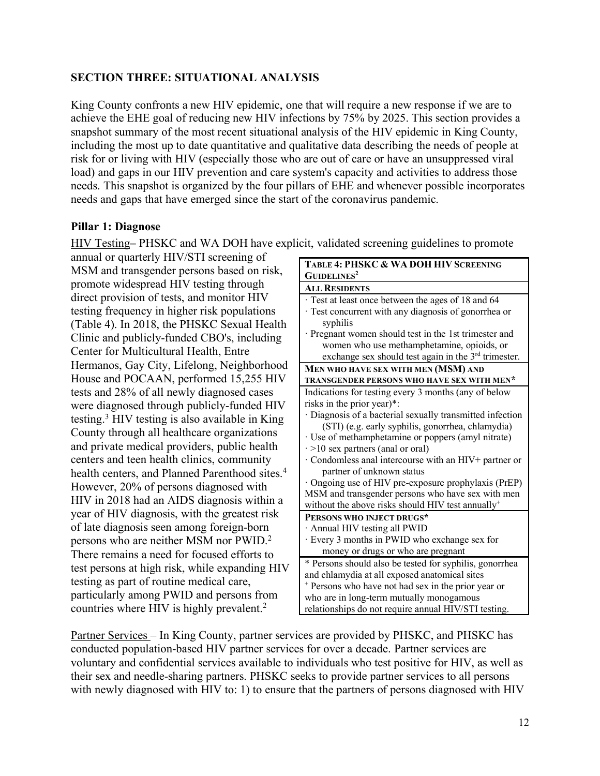### **SECTION THREE: SITUATIONAL ANALYSIS**

King County confronts a new HIV epidemic, one that will require a new response if we are to achieve the EHE goal of reducing new HIV infections by 75% by 2025. This section provides a snapshot summary of the most recent situational analysis of the HIV epidemic in King County, including the most up to date quantitative and qualitative data describing the needs of people at risk for or living with HIV (especially those who are out of care or have an unsuppressed viral load) and gaps in our HIV prevention and care system's capacity and activities to address those needs. This snapshot is organized by the four pillars of EHE and whenever possible incorporates needs and gaps that have emerged since the start of the coronavirus pandemic.

### **Pillar 1: Diagnose**

HIV Testing– PHSKC and WA DOH have explicit, validated screening guidelines to promote

annual or quarterly HIV/STI screening of MSM and transgender persons based on risk, promote widespread HIV testing through direct provision of tests, and monitor HIV testing frequency in higher risk populations (Table 4). In 2018, the PHSKC Sexual Health Clinic and publicly-funded CBO's, including Center for Multicultural Health, Entre Hermanos, Gay City, Lifelong, Neighborhood House and POCAAN, performed 15,255 HIV tests and 28% of all newly diagnosed cases were diagnosed through publicly-funded HIV testing.3 HIV testing is also available in King County through all healthcare organizations and private medical providers, public health centers and teen health clinics, community health centers, and Planned Parenthood sites.<sup>4</sup> However, 20% of persons diagnosed with HIV in 2018 had an AIDS diagnosis within a year of HIV diagnosis, with the greatest risk of late diagnosis seen among foreign-born persons who are neither MSM nor PWID.2 There remains a need for focused efforts to test persons at high risk, while expanding HIV testing as part of routine medical care, particularly among PWID and persons from countries where HIV is highly prevalent.<sup>2</sup>

| <b>TABLE 4: PHSKC &amp; WA DOH HIV SCREENING</b>              |
|---------------------------------------------------------------|
| <b>GUIDELINES<sup>2</sup></b>                                 |
| <b>ALL RESIDENTS</b>                                          |
| Test at least once between the ages of 18 and 64              |
| Test concurrent with any diagnosis of gonorrhea or            |
| syphilis                                                      |
| Pregnant women should test in the 1st trimester and           |
| women who use methamphetamine, opioids, or                    |
| exchange sex should test again in the 3rd trimester.          |
| MEN WHO HAVE SEX WITH MEN (MSM) AND                           |
| TRANSGENDER PERSONS WHO HAVE SEX WITH MEN*                    |
| Indications for testing every 3 months (any of below          |
| risks in the prior year)*:                                    |
| Diagnosis of a bacterial sexually transmitted infection       |
| (STI) (e.g. early syphilis, gonorrhea, chlamydia)             |
| · Use of methamphetamine or poppers (amyl nitrate)            |
| $\cdot$ >10 sex partners (anal or oral)                       |
| · Condomless anal intercourse with an HIV+ partner or         |
| partner of unknown status                                     |
| Ongoing use of HIV pre-exposure prophylaxis (PrEP)            |
| MSM and transgender persons who have sex with men             |
| without the above risks should HIV test annually <sup>+</sup> |
| PERSONS WHO INJECT DRUGS*                                     |
| Annual HIV testing all PWID                                   |
| · Every 3 months in PWID who exchange sex for                 |
| money or drugs or who are pregnant                            |
| * Persons should also be tested for syphilis, gonorrhea       |
| and chlamydia at all exposed anatomical sites                 |
| + Persons who have not had sex in the prior year or           |
| who are in long-term mutually monogamous                      |
| relationships do not require annual HIV/STI testing.          |

Partner Services – In King County, partner services are provided by PHSKC, and PHSKC has conducted population-based HIV partner services for over a decade. Partner services are voluntary and confidential services available to individuals who test positive for HIV, as well as their sex and needle-sharing partners. PHSKC seeks to provide partner services to all persons with newly diagnosed with HIV to: 1) to ensure that the partners of persons diagnosed with HIV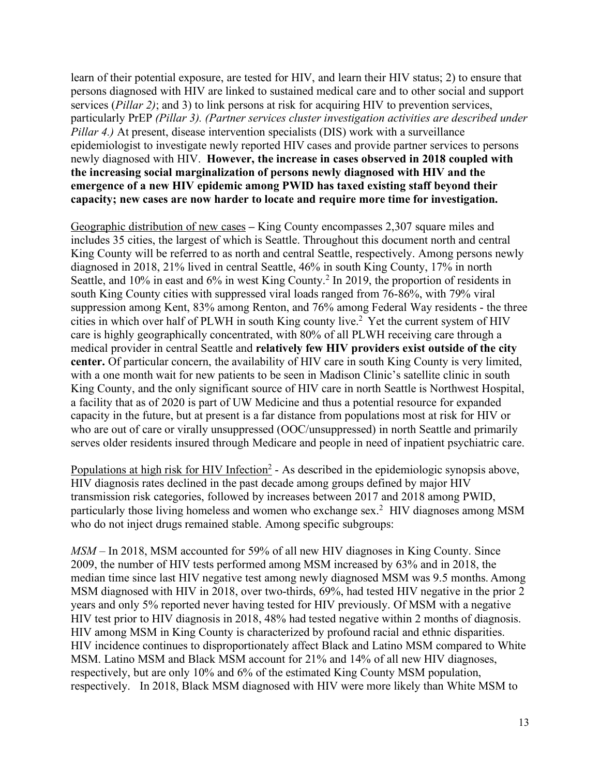learn of their potential exposure, are tested for HIV, and learn their HIV status; 2) to ensure that persons diagnosed with HIV are linked to sustained medical care and to other social and support services (*Pillar 2)*; and 3) to link persons at risk for acquiring HIV to prevention services, particularly PrEP *(Pillar 3). (Partner services cluster investigation activities are described under Pillar 4.)* At present, disease intervention specialists (DIS) work with a surveillance epidemiologist to investigate newly reported HIV cases and provide partner services to persons newly diagnosed with HIV. **However, the increase in cases observed in 2018 coupled with the increasing social marginalization of persons newly diagnosed with HIV and the emergence of a new HIV epidemic among PWID has taxed existing staff beyond their capacity; new cases are now harder to locate and require more time for investigation.**

Geographic distribution of new cases **–** King County encompasses 2,307 square miles and includes 35 cities, the largest of which is Seattle. Throughout this document north and central King County will be referred to as north and central Seattle, respectively. Among persons newly diagnosed in 2018, 21% lived in central Seattle, 46% in south King County, 17% in north Seattle, and 10% in east and 6% in west King County. <sup>2</sup> In 2019, the proportion of residents in south King County cities with suppressed viral loads ranged from 76-86%, with 79% viral suppression among Kent, 83% among Renton, and 76% among Federal Way residents - the three cities in which over half of PLWH in south King county live.2 Yet the current system of HIV care is highly geographically concentrated, with 80% of all PLWH receiving care through a medical provider in central Seattle and **relatively few HIV providers exist outside of the city center.** Of particular concern, the availability of HIV care in south King County is very limited, with a one month wait for new patients to be seen in Madison Clinic's satellite clinic in south King County, and the only significant source of HIV care in north Seattle is Northwest Hospital, a facility that as of 2020 is part of UW Medicine and thus a potential resource for expanded capacity in the future, but at present is a far distance from populations most at risk for HIV or who are out of care or virally unsuppressed (OOC/unsuppressed) in north Seattle and primarily serves older residents insured through Medicare and people in need of inpatient psychiatric care.

Populations at high risk for HIV Infection<sup>2</sup> - As described in the epidemiologic synopsis above, HIV diagnosis rates declined in the past decade among groups defined by major HIV transmission risk categories, followed by increases between 2017 and 2018 among PWID, particularly those living homeless and women who exchange sex.2 HIV diagnoses among MSM who do not inject drugs remained stable. Among specific subgroups:

*MSM* – In 2018, MSM accounted for 59% of all new HIV diagnoses in King County. Since 2009, the number of HIV tests performed among MSM increased by 63% and in 2018, the median time since last HIV negative test among newly diagnosed MSM was 9.5 months. Among MSM diagnosed with HIV in 2018, over two-thirds, 69%, had tested HIV negative in the prior 2 years and only 5% reported never having tested for HIV previously. Of MSM with a negative HIV test prior to HIV diagnosis in 2018, 48% had tested negative within 2 months of diagnosis. HIV among MSM in King County is characterized by profound racial and ethnic disparities. HIV incidence continues to disproportionately affect Black and Latino MSM compared to White MSM. Latino MSM and Black MSM account for 21% and 14% of all new HIV diagnoses, respectively, but are only 10% and 6% of the estimated King County MSM population, respectively. In 2018, Black MSM diagnosed with HIV were more likely than White MSM to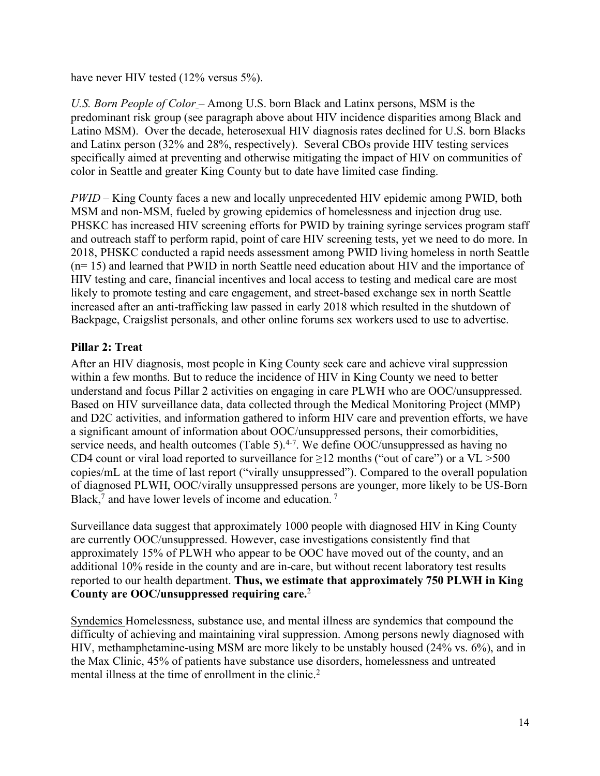have never HIV tested (12% versus 5%).

*U.S. Born People of Color* – Among U.S. born Black and Latinx persons, MSM is the predominant risk group (see paragraph above about HIV incidence disparities among Black and Latino MSM). Over the decade, heterosexual HIV diagnosis rates declined for U.S. born Blacks and Latinx person (32% and 28%, respectively). Several CBOs provide HIV testing services specifically aimed at preventing and otherwise mitigating the impact of HIV on communities of color in Seattle and greater King County but to date have limited case finding.

*PWID* – King County faces a new and locally unprecedented HIV epidemic among PWID, both MSM and non-MSM, fueled by growing epidemics of homelessness and injection drug use. PHSKC has increased HIV screening efforts for PWID by training syringe services program staff and outreach staff to perform rapid, point of care HIV screening tests, yet we need to do more. In 2018, PHSKC conducted a rapid needs assessment among PWID living homeless in north Seattle (n= 15) and learned that PWID in north Seattle need education about HIV and the importance of HIV testing and care, financial incentives and local access to testing and medical care are most likely to promote testing and care engagement, and street-based exchange sex in north Seattle increased after an anti-trafficking law passed in early 2018 which resulted in the shutdown of Backpage, Craigslist personals, and other online forums sex workers used to use to advertise.

### **Pillar 2: Treat**

After an HIV diagnosis, most people in King County seek care and achieve viral suppression within a few months. But to reduce the incidence of HIV in King County we need to better understand and focus Pillar 2 activities on engaging in care PLWH who are OOC/unsuppressed. Based on HIV surveillance data, data collected through the Medical Monitoring Project (MMP) and D2C activities, and information gathered to inform HIV care and prevention efforts, we have a significant amount of information about OOC/unsuppressed persons, their comorbidities, service needs, and health outcomes (Table 5). $4-7$ . We define OOC/unsuppressed as having no CD4 count or viral load reported to surveillance for  $\geq$ 12 months ("out of care") or a VL >500 copies/mL at the time of last report ("virally unsuppressed"). Compared to the overall population of diagnosed PLWH, OOC/virally unsuppressed persons are younger, more likely to be US-Born Black,<sup>7</sup> and have lower levels of income and education.<sup>7</sup>

Surveillance data suggest that approximately 1000 people with diagnosed HIV in King County are currently OOC/unsuppressed. However, case investigations consistently find that approximately 15% of PLWH who appear to be OOC have moved out of the county, and an additional 10% reside in the county and are in-care, but without recent laboratory test results reported to our health department. **Thus, we estimate that approximately 750 PLWH in King County are OOC/unsuppressed requiring care.**<sup>2</sup>

Syndemics Homelessness, substance use, and mental illness are syndemics that compound the difficulty of achieving and maintaining viral suppression. Among persons newly diagnosed with HIV, methamphetamine-using MSM are more likely to be unstably housed (24% vs. 6%), and in the Max Clinic, 45% of patients have substance use disorders, homelessness and untreated mental illness at the time of enrollment in the clinic.<sup>2</sup>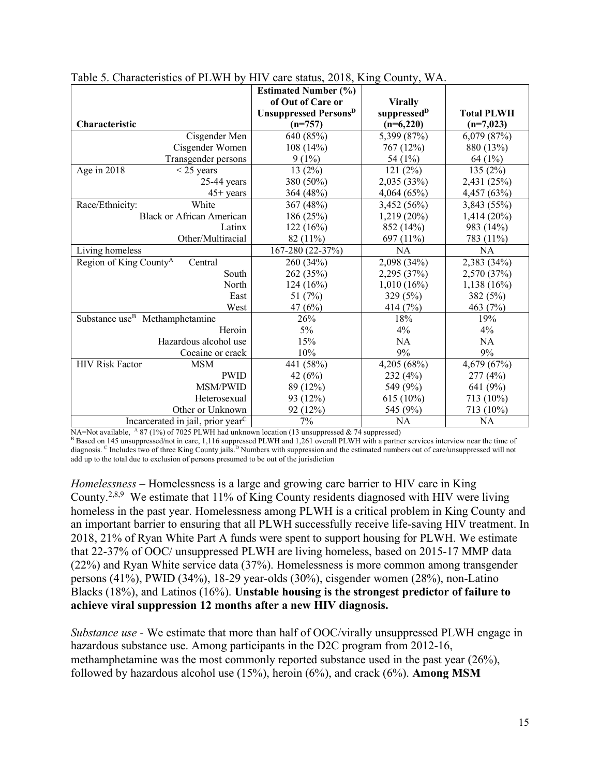|                                            |                                               | <b>Estimated Number (%)</b>              |                         |                   |
|--------------------------------------------|-----------------------------------------------|------------------------------------------|-------------------------|-------------------|
|                                            |                                               | of Out of Care or                        | <b>Virally</b>          |                   |
|                                            |                                               | <b>Unsuppressed Persons</b> <sup>D</sup> | suppressed <sup>D</sup> | <b>Total PLWH</b> |
| Characteristic                             |                                               | $(n=757)$                                | $(n=6,220)$             | $(n=7,023)$       |
|                                            | Cisgender Men                                 | 640 (85%)                                | 5,399 (87%)             | 6,079(87%)        |
|                                            | Cisgender Women                               | 108(14%)                                 | 767 (12%)               | 880 (13%)         |
|                                            | Transgender persons                           | $9(1\%)$                                 | 54 (1%)                 | 64(1%)            |
| Age in 2018                                | $\leq$ 25 years                               | 13(2%)                                   | 121(2%)                 | 135(2%)           |
|                                            | $25-44$ years                                 | 380 (50%)                                | 2,035 (33%)             | 2,431 (25%)       |
|                                            | $45+$ years                                   | 364 (48%)                                | 4,064(65%)              | 4,457 (63%)       |
| Race/Ethnicity:                            | White                                         | 367 (48%)                                | 3,452 (56%)             | 3,843 (55%)       |
|                                            | <b>Black or African American</b>              | 186 (25%)                                | 1,219 (20%)             | 1,414 (20%)       |
|                                            | Latinx                                        | 122(16%)                                 | 852 (14%)               | 983 (14%)         |
|                                            | Other/Multiracial                             | $82(11\%)$                               | 697 (11%)               | 783 (11%)         |
| Living homeless                            |                                               | 167-280 (22-37%)                         | <b>NA</b>               | NA                |
| Region of King County <sup>A</sup>         | Central                                       | 260 (34%)                                | 2,098 (34%)             | 2,383 (34%)       |
|                                            | South                                         | 262 (35%)                                | 2,295 (37%)             | 2,570 (37%)       |
|                                            | North                                         | 124(16%)                                 | 1,010(16%)              | 1,138(16%)        |
|                                            | East                                          | 51 $(7%)$                                | 329 (5%)                | 382 (5%)          |
|                                            | West                                          | 47 $(6%)$                                | 414 $(7%)$              | 463 (7%)          |
| Substance use <sup>B</sup> Methamphetamine |                                               | 26%                                      | 18%                     | 19%               |
|                                            | Heroin                                        | $5\%$                                    | 4%                      | 4%                |
|                                            | Hazardous alcohol use                         | 15%                                      | NA                      | <b>NA</b>         |
|                                            | Cocaine or crack                              | 10%                                      | $9\%$                   | 9%                |
| <b>HIV Risk Factor</b>                     | <b>MSM</b>                                    | 441 (58%)                                | 4,205 (68%)             | 4,679 (67%)       |
|                                            | <b>PWID</b>                                   | 42 $(6%)$                                | 232(4%)                 | 277(4%)           |
|                                            | MSM/PWID                                      | 89 (12%)                                 | 549 (9%)                | 641 (9%)          |
|                                            | Heterosexual                                  | 93 (12%)                                 | $615(10\%)$             | 713 (10%)         |
|                                            | Other or Unknown                              | 92 (12%)                                 | 545 (9%)                | 713 (10%)         |
|                                            | Incarcerated in jail, prior year <sup>C</sup> | 7%                                       | NA                      | <b>NA</b>         |

|  |  | Table 5. Characteristics of PLWH by HIV care status, 2018, King County, WA. |
|--|--|-----------------------------------------------------------------------------|
|  |  |                                                                             |

NA=Not available,  $^{A}$  87 (1%) of 7025 PLWH had unknown location (13 unsuppressed & 74 suppressed)

B Based on 145 unsuppressed/not in care, 1,116 suppressed PLWH and 1,261 overall PLWH with a partner services interview near the time of diagnosis. <sup>C</sup> Includes two of three King County jails.<sup>D</sup> Numbers with suppression and the estimated numbers out of care/unsuppressed will not add up to the total due to exclusion of persons presumed to be out of the jurisdiction

*Homelessness* – Homelessness is a large and growing care barrier to HIV care in King County.2,8,9 We estimate that 11% of King County residents diagnosed with HIV were living homeless in the past year. Homelessness among PLWH is a critical problem in King County and an important barrier to ensuring that all PLWH successfully receive life-saving HIV treatment. In 2018, 21% of Ryan White Part A funds were spent to support housing for PLWH. We estimate that 22-37% of OOC/ unsuppressed PLWH are living homeless, based on 2015-17 MMP data (22%) and Ryan White service data (37%). Homelessness is more common among transgender persons (41%), PWID (34%), 18-29 year-olds (30%), cisgender women (28%), non-Latino Blacks (18%), and Latinos (16%). **Unstable housing is the strongest predictor of failure to achieve viral suppression 12 months after a new HIV diagnosis.**

*Substance use* - We estimate that more than half of OOC/virally unsuppressed PLWH engage in hazardous substance use. Among participants in the D2C program from 2012-16, methamphetamine was the most commonly reported substance used in the past year (26%), followed by hazardous alcohol use (15%), heroin (6%), and crack (6%). **Among MSM**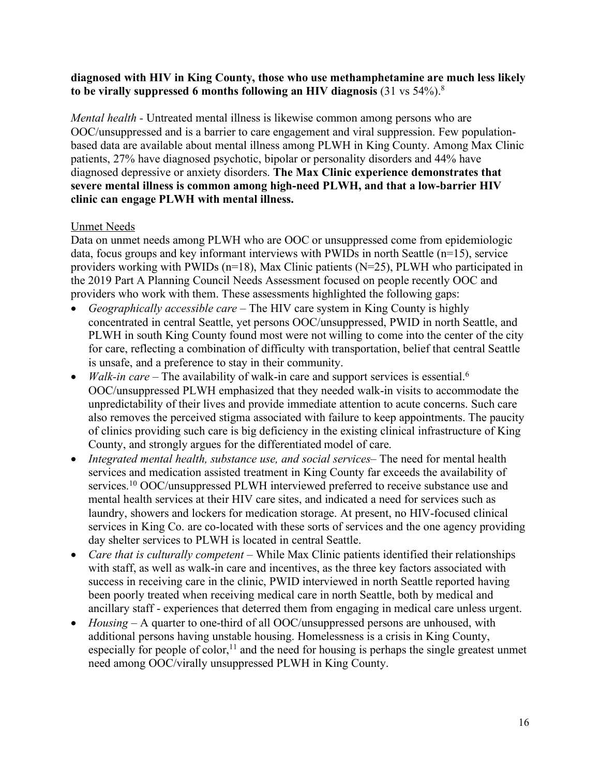### **diagnosed with HIV in King County, those who use methamphetamine are much less likely to be virally suppressed 6 months following an HIV diagnosis** (31 vs 54%).8

*Mental health -* Untreated mental illness is likewise common among persons who are OOC/unsuppressed and is a barrier to care engagement and viral suppression. Few populationbased data are available about mental illness among PLWH in King County. Among Max Clinic patients, 27% have diagnosed psychotic, bipolar or personality disorders and 44% have diagnosed depressive or anxiety disorders. **The Max Clinic experience demonstrates that severe mental illness is common among high-need PLWH, and that a low-barrier HIV clinic can engage PLWH with mental illness.**

### Unmet Needs

Data on unmet needs among PLWH who are OOC or unsuppressed come from epidemiologic data, focus groups and key informant interviews with PWIDs in north Seattle (n=15), service providers working with PWIDs (n=18), Max Clinic patients (N=25), PLWH who participated in the 2019 Part A Planning Council Needs Assessment focused on people recently OOC and providers who work with them. These assessments highlighted the following gaps:

- *Geographically accessible care* The HIV care system in King County is highly concentrated in central Seattle, yet persons OOC/unsuppressed, PWID in north Seattle, and PLWH in south King County found most were not willing to come into the center of the city for care, reflecting a combination of difficulty with transportation, belief that central Seattle is unsafe, and a preference to stay in their community.
- *Walk-in care* The availability of walk-in care and support services is essential.<sup>6</sup> OOC/unsuppressed PLWH emphasized that they needed walk-in visits to accommodate the unpredictability of their lives and provide immediate attention to acute concerns. Such care also removes the perceived stigma associated with failure to keep appointments. The paucity of clinics providing such care is big deficiency in the existing clinical infrastructure of King County, and strongly argues for the differentiated model of care.
- *Integrated mental health, substance use, and social services* The need for mental health services and medication assisted treatment in King County far exceeds the availability of services.<sup>10</sup> OOC/unsuppressed PLWH interviewed preferred to receive substance use and mental health services at their HIV care sites, and indicated a need for services such as laundry, showers and lockers for medication storage. At present, no HIV-focused clinical services in King Co. are co-located with these sorts of services and the one agency providing day shelter services to PLWH is located in central Seattle.
- *Care that is culturally competent* While Max Clinic patients identified their relationships with staff, as well as walk-in care and incentives, as the three key factors associated with success in receiving care in the clinic, PWID interviewed in north Seattle reported having been poorly treated when receiving medical care in north Seattle, both by medical and ancillary staff - experiences that deterred them from engaging in medical care unless urgent.
- *Housing* A quarter to one-third of all OOC/unsuppressed persons are unhoused, with additional persons having unstable housing. Homelessness is a crisis in King County, especially for people of color,<sup>11</sup> and the need for housing is perhaps the single greatest unmet need among OOC/virally unsuppressed PLWH in King County.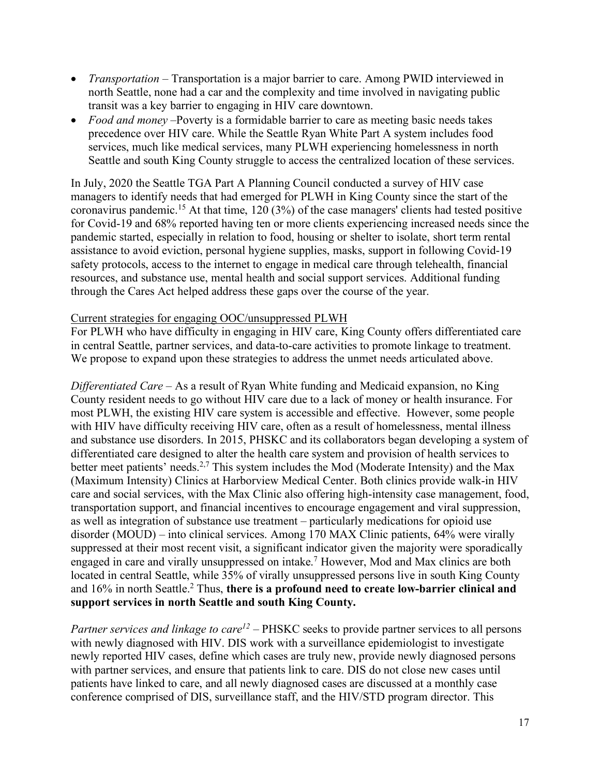- *Transportation* Transportation is a major barrier to care. Among PWID interviewed in north Seattle, none had a car and the complexity and time involved in navigating public transit was a key barrier to engaging in HIV care downtown.
- *Food and money* –Poverty is a formidable barrier to care as meeting basic needs takes precedence over HIV care. While the Seattle Ryan White Part A system includes food services, much like medical services, many PLWH experiencing homelessness in north Seattle and south King County struggle to access the centralized location of these services.

In July, 2020 the Seattle TGA Part A Planning Council conducted a survey of HIV case managers to identify needs that had emerged for PLWH in King County since the start of the coronavirus pandemic.15 At that time, 120 (3%) of the case managers' clients had tested positive for Covid-19 and 68% reported having ten or more clients experiencing increased needs since the pandemic started, especially in relation to food, housing or shelter to isolate, short term rental assistance to avoid eviction, personal hygiene supplies, masks, support in following Covid-19 safety protocols, access to the internet to engage in medical care through telehealth, financial resources, and substance use, mental health and social support services. Additional funding through the Cares Act helped address these gaps over the course of the year.

### Current strategies for engaging OOC/unsuppressed PLWH

For PLWH who have difficulty in engaging in HIV care, King County offers differentiated care in central Seattle, partner services, and data-to-care activities to promote linkage to treatment. We propose to expand upon these strategies to address the unmet needs articulated above.

*Differentiated Care –* As a result of Ryan White funding and Medicaid expansion, no King County resident needs to go without HIV care due to a lack of money or health insurance. For most PLWH, the existing HIV care system is accessible and effective.However, some people with HIV have difficulty receiving HIV care, often as a result of homelessness, mental illness and substance use disorders. In 2015, PHSKC and its collaborators began developing a system of differentiated care designed to alter the health care system and provision of health services to better meet patients' needs.<sup>2,7</sup> This system includes the Mod (Moderate Intensity) and the Max (Maximum Intensity) Clinics at Harborview Medical Center. Both clinics provide walk-in HIV care and social services, with the Max Clinic also offering high-intensity case management, food, transportation support, and financial incentives to encourage engagement and viral suppression, as well as integration of substance use treatment – particularly medications for opioid use disorder (MOUD) – into clinical services. Among 170 MAX Clinic patients, 64% were virally suppressed at their most recent visit, a significant indicator given the majority were sporadically engaged in care and virally unsuppressed on intake.7 However, Mod and Max clinics are both located in central Seattle, while 35% of virally unsuppressed persons live in south King County and 16% in north Seattle.2 Thus, **there is a profound need to create low-barrier clinical and support services in north Seattle and south King County.**

*Partner services and linkage to care<sup>12</sup>* – PHSKC seeks to provide partner services to all persons with newly diagnosed with HIV. DIS work with a surveillance epidemiologist to investigate newly reported HIV cases, define which cases are truly new, provide newly diagnosed persons with partner services, and ensure that patients link to care. DIS do not close new cases until patients have linked to care, and all newly diagnosed cases are discussed at a monthly case conference comprised of DIS, surveillance staff, and the HIV/STD program director. This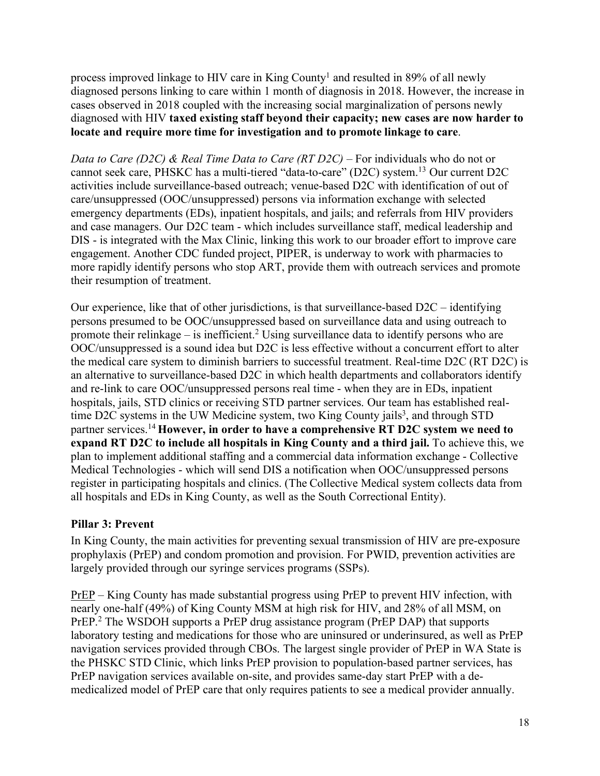process improved linkage to HIV care in King County<sup>1</sup> and resulted in 89% of all newly diagnosed persons linking to care within 1 month of diagnosis in 2018. However, the increase in cases observed in 2018 coupled with the increasing social marginalization of persons newly diagnosed with HIV **taxed existing staff beyond their capacity; new cases are now harder to locate and require more time for investigation and to promote linkage to care**.

*Data to Care (D2C) & Real Time Data to Care (RT D2C) –* For individuals who do not or cannot seek care, PHSKC has a multi-tiered "data-to-care" (D2C) system.13 Our current D2C activities include surveillance-based outreach; venue-based D2C with identification of out of care/unsuppressed (OOC/unsuppressed) persons via information exchange with selected emergency departments (EDs), inpatient hospitals, and jails; and referrals from HIV providers and case managers. Our D2C team - which includes surveillance staff, medical leadership and DIS - is integrated with the Max Clinic, linking this work to our broader effort to improve care engagement. Another CDC funded project, PIPER, is underway to work with pharmacies to more rapidly identify persons who stop ART, provide them with outreach services and promote their resumption of treatment.

Our experience, like that of other jurisdictions, is that surveillance-based D2C – identifying persons presumed to be OOC/unsuppressed based on surveillance data and using outreach to promote their relinkage – is inefficient.<sup>2</sup> Using surveillance data to identify persons who are OOC/unsuppressed is a sound idea but D2C is less effective without a concurrent effort to alter the medical care system to diminish barriers to successful treatment. Real-time D2C (RT D2C) is an alternative to surveillance-based D2C in which health departments and collaborators identify and re-link to care OOC/unsuppressed persons real time - when they are in EDs, inpatient hospitals, jails, STD clinics or receiving STD partner services. Our team has established realtime D2C systems in the UW Medicine system, two King County jails<sup>3</sup>, and through STD partner services.14 **However, in order to have a comprehensive RT D2C system we need to expand RT D2C to include all hospitals in King County and a third jail.** To achieve this, we plan to implement additional staffing and a commercial data information exchange - Collective Medical Technologies - which will send DIS a notification when OOC/unsuppressed persons register in participating hospitals and clinics. (The Collective Medical system collects data from all hospitals and EDs in King County, as well as the South Correctional Entity).

### **Pillar 3: Prevent**

In King County, the main activities for preventing sexual transmission of HIV are pre-exposure prophylaxis (PrEP) and condom promotion and provision. For PWID, prevention activities are largely provided through our syringe services programs (SSPs).

PrEP – King County has made substantial progress using PrEP to prevent HIV infection, with nearly one-half (49%) of King County MSM at high risk for HIV, and 28% of all MSM, on PrEP.2 The WSDOH supports a PrEP drug assistance program (PrEP DAP) that supports laboratory testing and medications for those who are uninsured or underinsured, as well as PrEP navigation services provided through CBOs. The largest single provider of PrEP in WA State is the PHSKC STD Clinic, which links PrEP provision to population-based partner services, has PrEP navigation services available on-site, and provides same-day start PrEP with a demedicalized model of PrEP care that only requires patients to see a medical provider annually.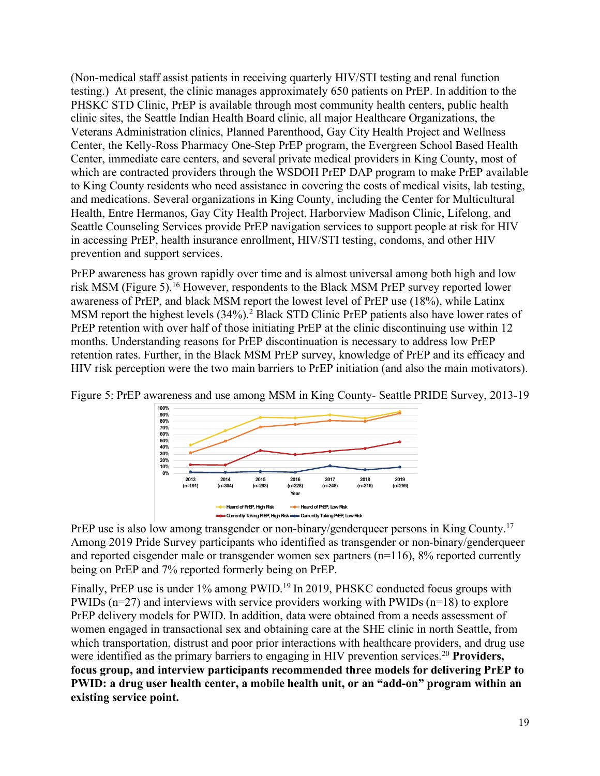(Non-medical staff assist patients in receiving quarterly HIV/STI testing and renal function testing.) At present, the clinic manages approximately 650 patients on PrEP. In addition to the PHSKC STD Clinic, PrEP is available through most community health centers, public health clinic sites, the Seattle Indian Health Board clinic, all major Healthcare Organizations, the Veterans Administration clinics, Planned Parenthood, Gay City Health Project and Wellness Center, the Kelly-Ross Pharmacy One-Step PrEP program, the Evergreen School Based Health Center, immediate care centers, and several private medical providers in King County, most of which are contracted providers through the WSDOH PrEP DAP program to make PrEP available to King County residents who need assistance in covering the costs of medical visits, lab testing, and medications. Several organizations in King County, including the Center for Multicultural Health, Entre Hermanos, Gay City Health Project, Harborview Madison Clinic, Lifelong, and Seattle Counseling Services provide PrEP navigation services to support people at risk for HIV in accessing PrEP, health insurance enrollment, HIV/STI testing, condoms, and other HIV prevention and support services.

PrEP awareness has grown rapidly over time and is almost universal among both high and low risk MSM (Figure 5).16 However, respondents to the Black MSM PrEP survey reported lower awareness of PrEP, and black MSM report the lowest level of PrEP use (18%), while Latinx MSM report the highest levels (34%).<sup>2</sup> Black STD Clinic PrEP patients also have lower rates of PrEP retention with over half of those initiating PrEP at the clinic discontinuing use within 12 months. Understanding reasons for PrEP discontinuation is necessary to address low PrEP retention rates. Further, in the Black MSM PrEP survey, knowledge of PrEP and its efficacy and HIV risk perception were the two main barriers to PrEP initiation (and also the main motivators).



Figure 5: PrEP awareness and use among MSM in King County- Seattle PRIDE Survey, 2013-19

PrEP use is also low among transgender or non-binary/genderqueer persons in King County.<sup>17</sup> Among 2019 Pride Survey participants who identified as transgender or non-binary/genderqueer and reported cisgender male or transgender women sex partners (n=116), 8% reported currently being on PrEP and 7% reported formerly being on PrEP.

Finally, PrEP use is under 1% among PWID.<sup>19</sup> In 2019, PHSKC conducted focus groups with PWIDs (n=27) and interviews with service providers working with PWIDs (n=18) to explore PrEP delivery models for PWID. In addition, data were obtained from a needs assessment of women engaged in transactional sex and obtaining care at the SHE clinic in north Seattle, from which transportation, distrust and poor prior interactions with healthcare providers, and drug use were identified as the primary barriers to engaging in HIV prevention services.<sup>20</sup> Providers, **focus group, and interview participants recommended three models for delivering PrEP to PWID: a drug user health center, a mobile health unit, or an "add-on" program within an existing service point.**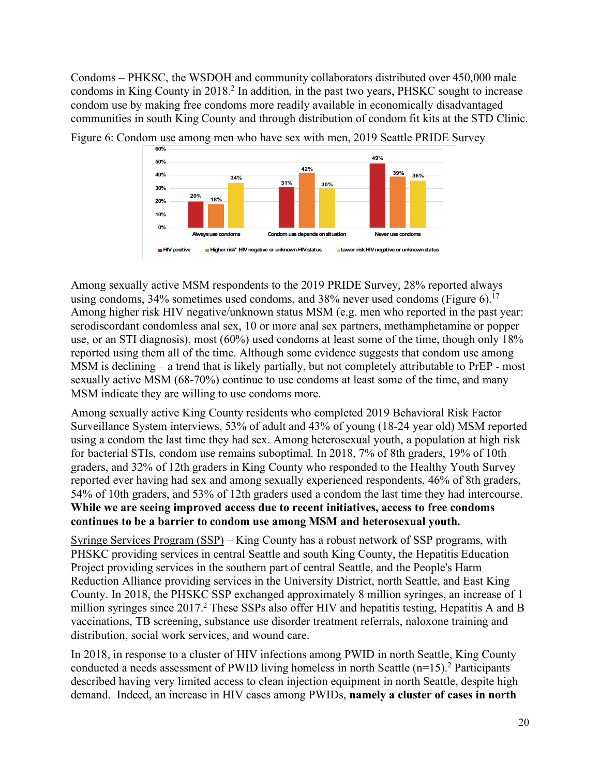Condoms – PHKSC, the WSDOH and community collaborators distributed over 450,000 male condoms in King County in 2018.<sup>2</sup> In addition, in the past two years, PHSKC sought to increase condom use by making free condoms more readily available in economically disadvantaged communities in south King County and through distribution of condom fit kits at the STD Clinic.



Figure 6: Condom use among men who have sex with men, 2019 Seattle PRIDE Survey

Among sexually active MSM respondents to the 2019 PRIDE Survey, 28% reported always using condoms,  $34\%$  sometimes used condoms, and  $38\%$  never used condoms (Figure 6).<sup>17</sup> Among higher risk HIV negative/unknown status MSM (e.g. men who reported in the past year: serodiscordant condomless anal sex, 10 or more anal sex partners, methamphetamine or popper use, or an STI diagnosis), most (60%) used condoms at least some of the time, though only 18% reported using them all of the time. Although some evidence suggests that condom use among MSM is declining – a trend that is likely partially, but not completely attributable to PrEP - most sexually active MSM (68-70%) continue to use condoms at least some of the time, and many MSM indicate they are willing to use condoms more.

Among sexually active King County residents who completed 2019 Behavioral Risk Factor Surveillance System interviews, 53% of adult and 43% of young (18-24 year old) MSM reported using a condom the last time they had sex. Among heterosexual youth, a population at high risk for bacterial STIs, condom use remains suboptimal. In 2018, 7% of 8th graders, 19% of 10th graders, and 32% of 12th graders in King County who responded to the Healthy Youth Survey reported ever having had sex and among sexually experienced respondents, 46% of 8th graders, 54% of 10th graders, and 53% of 12th graders used a condom the last time they had intercourse. **While we are seeing improved access due to recent initiatives, access to free condoms continues to be a barrier to condom use among MSM and heterosexual youth.** 

Syringe Services Program (SSP) – King County has a robust network of SSP programs, with PHSKC providing services in central Seattle and south King County, the Hepatitis Education Project providing services in the southern part of central Seattle, and the People's Harm Reduction Alliance providing services in the University District, north Seattle, and East King County. In 2018, the PHSKC SSP exchanged approximately 8 million syringes, an increase of 1 million syringes since 2017.<sup>2</sup> These SSPs also offer HIV and hepatitis testing, Hepatitis A and B vaccinations, TB screening, substance use disorder treatment referrals, naloxone training and distribution, social work services, and wound care.

In 2018, in response to a cluster of HIV infections among PWID in north Seattle, King County conducted a needs assessment of PWID living homeless in north Seattle (n=15). <sup>2</sup> Participants described having very limited access to clean injection equipment in north Seattle, despite high demand. Indeed, an increase in HIV cases among PWIDs, **namely a cluster of cases in north**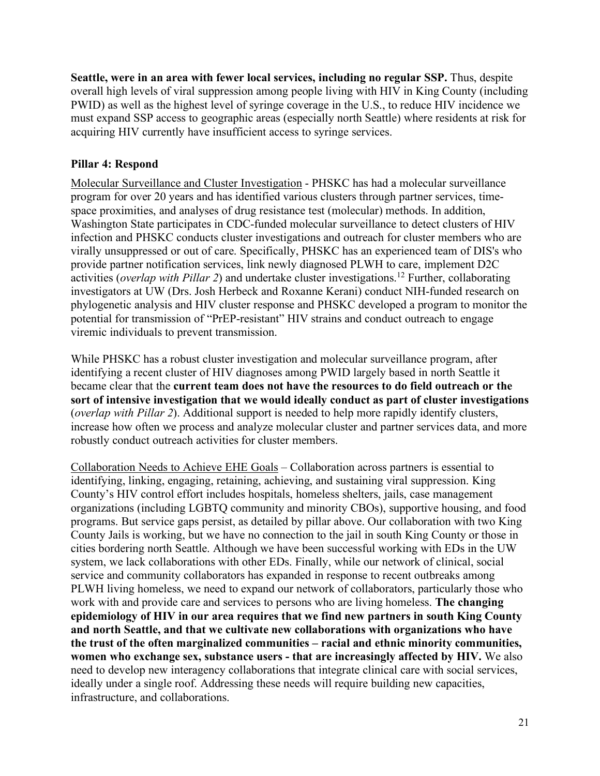**Seattle, were in an area with fewer local services, including no regular SSP.** Thus, despite overall high levels of viral suppression among people living with HIV in King County (including PWID) as well as the highest level of syringe coverage in the U.S., to reduce HIV incidence we must expand SSP access to geographic areas (especially north Seattle) where residents at risk for acquiring HIV currently have insufficient access to syringe services.

### **Pillar 4: Respond**

Molecular Surveillance and Cluster Investigation - PHSKC has had a molecular surveillance program for over 20 years and has identified various clusters through partner services, timespace proximities, and analyses of drug resistance test (molecular) methods. In addition, Washington State participates in CDC-funded molecular surveillance to detect clusters of HIV infection and PHSKC conducts cluster investigations and outreach for cluster members who are virally unsuppressed or out of care. Specifically, PHSKC has an experienced team of DIS's who provide partner notification services, link newly diagnosed PLWH to care, implement D2C activities (*overlap with Pillar 2*) and undertake cluster investigations.12 Further, collaborating investigators at UW (Drs. Josh Herbeck and Roxanne Kerani) conduct NIH-funded research on phylogenetic analysis and HIV cluster response and PHSKC developed a program to monitor the potential for transmission of "PrEP-resistant" HIV strains and conduct outreach to engage viremic individuals to prevent transmission.

While PHSKC has a robust cluster investigation and molecular surveillance program, after identifying a recent cluster of HIV diagnoses among PWID largely based in north Seattle it became clear that the **current team does not have the resources to do field outreach or the sort of intensive investigation that we would ideally conduct as part of cluster investigations** (*overlap with Pillar 2*). Additional support is needed to help more rapidly identify clusters, increase how often we process and analyze molecular cluster and partner services data, and more robustly conduct outreach activities for cluster members.

Collaboration Needs to Achieve EHE Goals – Collaboration across partners is essential to identifying, linking, engaging, retaining, achieving, and sustaining viral suppression. King County's HIV control effort includes hospitals, homeless shelters, jails, case management organizations (including LGBTQ community and minority CBOs), supportive housing, and food programs. But service gaps persist, as detailed by pillar above. Our collaboration with two King County Jails is working, but we have no connection to the jail in south King County or those in cities bordering north Seattle. Although we have been successful working with EDs in the UW system, we lack collaborations with other EDs. Finally, while our network of clinical, social service and community collaborators has expanded in response to recent outbreaks among PLWH living homeless, we need to expand our network of collaborators, particularly those who work with and provide care and services to persons who are living homeless. **The changing epidemiology of HIV in our area requires that we find new partners in south King County and north Seattle, and that we cultivate new collaborations with organizations who have the trust of the often marginalized communities – racial and ethnic minority communities, women who exchange sex, substance users - that are increasingly affected by HIV.** We also need to develop new interagency collaborations that integrate clinical care with social services, ideally under a single roof. Addressing these needs will require building new capacities, infrastructure, and collaborations.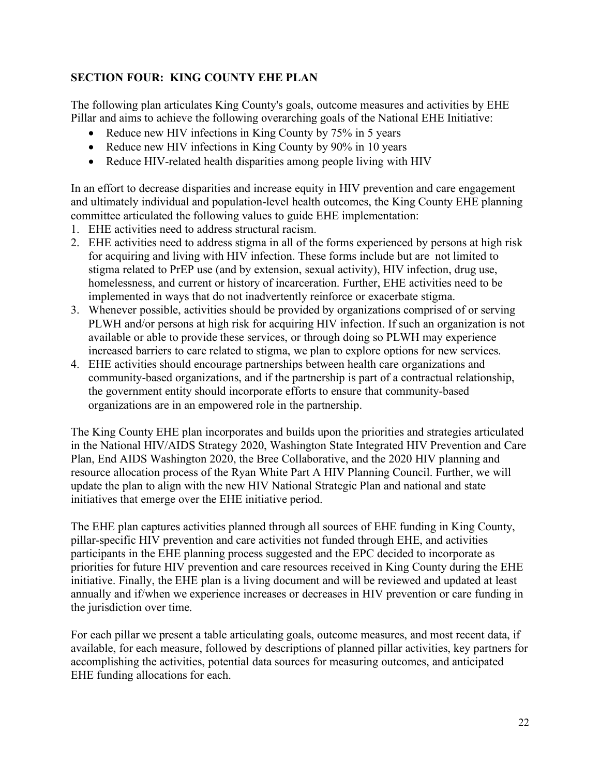## **SECTION FOUR: KING COUNTY EHE PLAN**

The following plan articulates King County's goals, outcome measures and activities by EHE Pillar and aims to achieve the following overarching goals of the National EHE Initiative:

- Reduce new HIV infections in King County by 75% in 5 years
- Reduce new HIV infections in King County by 90% in 10 years
- Reduce HIV-related health disparities among people living with HIV

In an effort to decrease disparities and increase equity in HIV prevention and care engagement and ultimately individual and population-level health outcomes, the King County EHE planning committee articulated the following values to guide EHE implementation:

- 1. EHE activities need to address structural racism.
- 2. EHE activities need to address stigma in all of the forms experienced by persons at high risk for acquiring and living with HIV infection. These forms include but are not limited to stigma related to PrEP use (and by extension, sexual activity), HIV infection, drug use, homelessness, and current or history of incarceration. Further, EHE activities need to be implemented in ways that do not inadvertently reinforce or exacerbate stigma.
- 3. Whenever possible, activities should be provided by organizations comprised of or serving PLWH and/or persons at high risk for acquiring HIV infection. If such an organization is not available or able to provide these services, or through doing so PLWH may experience increased barriers to care related to stigma, we plan to explore options for new services.
- 4. EHE activities should encourage partnerships between health care organizations and community-based organizations, and if the partnership is part of a contractual relationship, the government entity should incorporate efforts to ensure that community-based organizations are in an empowered role in the partnership.

The King County EHE plan incorporates and builds upon the priorities and strategies articulated in the National HIV/AIDS Strategy 2020, Washington State Integrated HIV Prevention and Care Plan, End AIDS Washington 2020, the Bree Collaborative, and the 2020 HIV planning and resource allocation process of the Ryan White Part A HIV Planning Council. Further, we will update the plan to align with the new HIV National Strategic Plan and national and state initiatives that emerge over the EHE initiative period.

The EHE plan captures activities planned through all sources of EHE funding in King County, pillar-specific HIV prevention and care activities not funded through EHE, and activities participants in the EHE planning process suggested and the EPC decided to incorporate as priorities for future HIV prevention and care resources received in King County during the EHE initiative. Finally, the EHE plan is a living document and will be reviewed and updated at least annually and if/when we experience increases or decreases in HIV prevention or care funding in the jurisdiction over time.

For each pillar we present a table articulating goals, outcome measures, and most recent data, if available, for each measure, followed by descriptions of planned pillar activities, key partners for accomplishing the activities, potential data sources for measuring outcomes, and anticipated EHE funding allocations for each.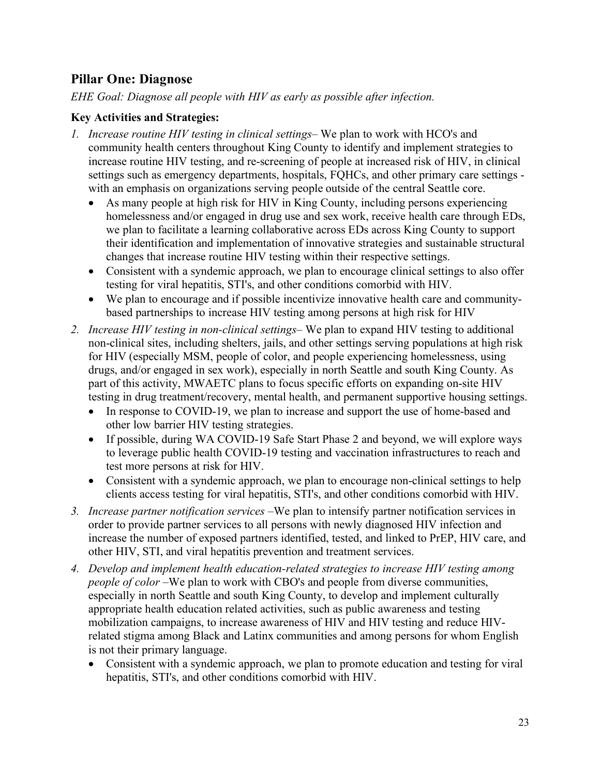# **Pillar One: Diagnose**

*EHE Goal: Diagnose all people with HIV as early as possible after infection.*

### **Key Activities and Strategies:**

- *1. Increase routine HIV testing in clinical settings–* We plan to work with HCO's and community health centers throughout King County to identify and implement strategies to increase routine HIV testing, and re-screening of people at increased risk of HIV, in clinical settings such as emergency departments, hospitals, FQHCs, and other primary care settings with an emphasis on organizations serving people outside of the central Seattle core.
	- As many people at high risk for HIV in King County, including persons experiencing homelessness and/or engaged in drug use and sex work, receive health care through EDs, we plan to facilitate a learning collaborative across EDs across King County to support their identification and implementation of innovative strategies and sustainable structural changes that increase routine HIV testing within their respective settings.
	- Consistent with a syndemic approach, we plan to encourage clinical settings to also offer testing for viral hepatitis, STI's, and other conditions comorbid with HIV.
	- We plan to encourage and if possible incentivize innovative health care and communitybased partnerships to increase HIV testing among persons at high risk for HIV
- *2. Increase HIV testing in non-clinical settings–* We plan to expand HIV testing to additional non-clinical sites, including shelters, jails, and other settings serving populations at high risk for HIV (especially MSM, people of color, and people experiencing homelessness, using drugs, and/or engaged in sex work), especially in north Seattle and south King County. As part of this activity, MWAETC plans to focus specific efforts on expanding on-site HIV testing in drug treatment/recovery, mental health, and permanent supportive housing settings.
	- In response to COVID-19, we plan to increase and support the use of home-based and other low barrier HIV testing strategies.
	- If possible, during WA COVID-19 Safe Start Phase 2 and beyond, we will explore ways to leverage public health COVID-19 testing and vaccination infrastructures to reach and test more persons at risk for HIV.
	- Consistent with a syndemic approach, we plan to encourage non-clinical settings to help clients access testing for viral hepatitis, STI's, and other conditions comorbid with HIV.
- *3. Increase partner notification services –*We plan to intensify partner notification services in order to provide partner services to all persons with newly diagnosed HIV infection and increase the number of exposed partners identified, tested, and linked to PrEP, HIV care, and other HIV, STI, and viral hepatitis prevention and treatment services.
- *4. Develop and implement health education-related strategies to increase HIV testing among people of color* –We plan to work with CBO's and people from diverse communities, especially in north Seattle and south King County, to develop and implement culturally appropriate health education related activities, such as public awareness and testing mobilization campaigns, to increase awareness of HIV and HIV testing and reduce HIVrelated stigma among Black and Latinx communities and among persons for whom English is not their primary language.
	- Consistent with a syndemic approach, we plan to promote education and testing for viral hepatitis, STI's, and other conditions comorbid with HIV.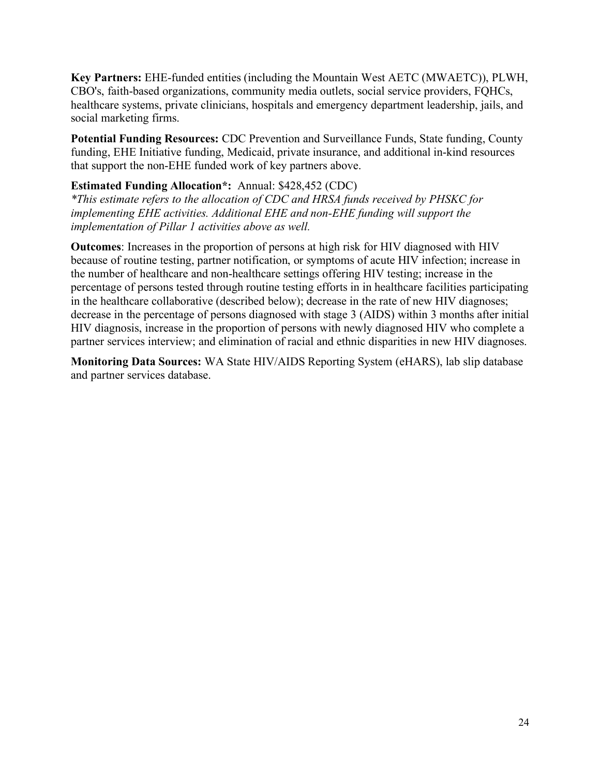**Key Partners:** EHE-funded entities (including the Mountain West AETC (MWAETC)), PLWH, CBO's, faith-based organizations, community media outlets, social service providers, FQHCs, healthcare systems, private clinicians, hospitals and emergency department leadership, jails, and social marketing firms.

**Potential Funding Resources:** CDC Prevention and Surveillance Funds, State funding, County funding, EHE Initiative funding, Medicaid, private insurance, and additional in-kind resources that support the non-EHE funded work of key partners above.

### **Estimated Funding Allocation\*:** Annual: \$428,452 (CDC)

*\*This estimate refers to the allocation of CDC and HRSA funds received by PHSKC for implementing EHE activities. Additional EHE and non-EHE funding will support the implementation of Pillar 1 activities above as well.*

**Outcomes**: Increases in the proportion of persons at high risk for HIV diagnosed with HIV because of routine testing, partner notification, or symptoms of acute HIV infection; increase in the number of healthcare and non-healthcare settings offering HIV testing; increase in the percentage of persons tested through routine testing efforts in in healthcare facilities participating in the healthcare collaborative (described below); decrease in the rate of new HIV diagnoses; decrease in the percentage of persons diagnosed with stage 3 (AIDS) within 3 months after initial HIV diagnosis, increase in the proportion of persons with newly diagnosed HIV who complete a partner services interview; and elimination of racial and ethnic disparities in new HIV diagnoses.

**Monitoring Data Sources:** WA State HIV/AIDS Reporting System (eHARS), lab slip database and partner services database.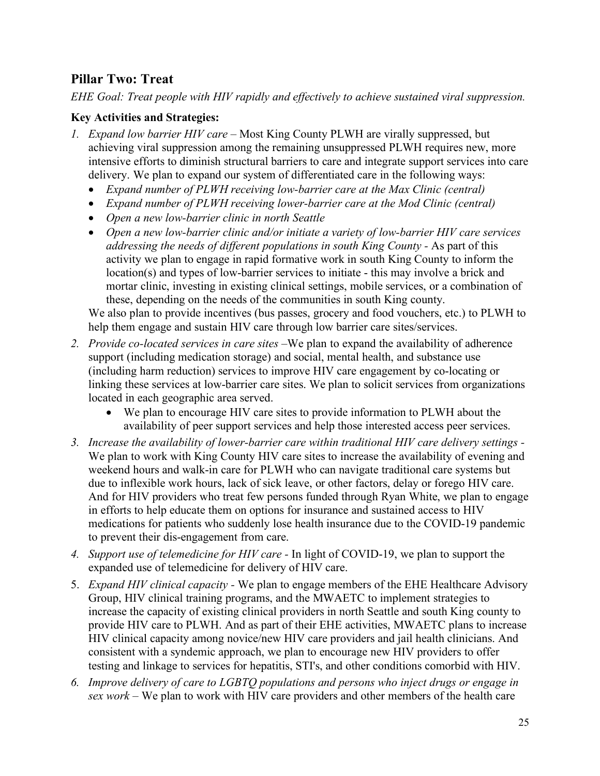# **Pillar Two: Treat**

*EHE Goal: Treat people with HIV rapidly and effectively to achieve sustained viral suppression.*

## **Key Activities and Strategies:**

- *1. Expand low barrier HIV care –* Most King County PLWH are virally suppressed, but achieving viral suppression among the remaining unsuppressed PLWH requires new, more intensive efforts to diminish structural barriers to care and integrate support services into care delivery. We plan to expand our system of differentiated care in the following ways:
	- *Expand number of PLWH receiving low-barrier care at the Max Clinic (central)*
	- *Expand number of PLWH receiving lower-barrier care at the Mod Clinic (central)*
	- *Open a new low-barrier clinic in north Seattle*
	- *Open a new low-barrier clinic and/or initiate a variety of low-barrier HIV care services addressing the needs of different populations in south King County -* As part of this activity we plan to engage in rapid formative work in south King County to inform the location(s) and types of low-barrier services to initiate - this may involve a brick and mortar clinic, investing in existing clinical settings, mobile services, or a combination of these, depending on the needs of the communities in south King county.

We also plan to provide incentives (bus passes, grocery and food vouchers, etc.) to PLWH to help them engage and sustain HIV care through low barrier care sites/services.

- *2. Provide co-located services in care sites –*We plan to expand the availability of adherence support (including medication storage) and social, mental health, and substance use (including harm reduction) services to improve HIV care engagement by co-locating or linking these services at low-barrier care sites. We plan to solicit services from organizations located in each geographic area served.
	- We plan to encourage HIV care sites to provide information to PLWH about the availability of peer support services and help those interested access peer services.
- *3. Increase the availability of lower-barrier care within traditional HIV care delivery settings -* We plan to work with King County HIV care sites to increase the availability of evening and weekend hours and walk-in care for PLWH who can navigate traditional care systems but due to inflexible work hours, lack of sick leave, or other factors, delay or forego HIV care. And for HIV providers who treat few persons funded through Ryan White, we plan to engage in efforts to help educate them on options for insurance and sustained access to HIV medications for patients who suddenly lose health insurance due to the COVID-19 pandemic to prevent their dis-engagement from care.
- *4. Support use of telemedicine for HIV care -* In light of COVID-19, we plan to support the expanded use of telemedicine for delivery of HIV care.
- 5. *Expand HIV clinical capacity -* We plan to engage members of the EHE Healthcare Advisory Group, HIV clinical training programs, and the MWAETC to implement strategies to increase the capacity of existing clinical providers in north Seattle and south King county to provide HIV care to PLWH. And as part of their EHE activities, MWAETC plans to increase HIV clinical capacity among novice/new HIV care providers and jail health clinicians. And consistent with a syndemic approach, we plan to encourage new HIV providers to offer testing and linkage to services for hepatitis, STI's, and other conditions comorbid with HIV.
- *6. Improve delivery of care to LGBTQ populations and persons who inject drugs or engage in sex work –* We plan to work with HIV care providers and other members of the health care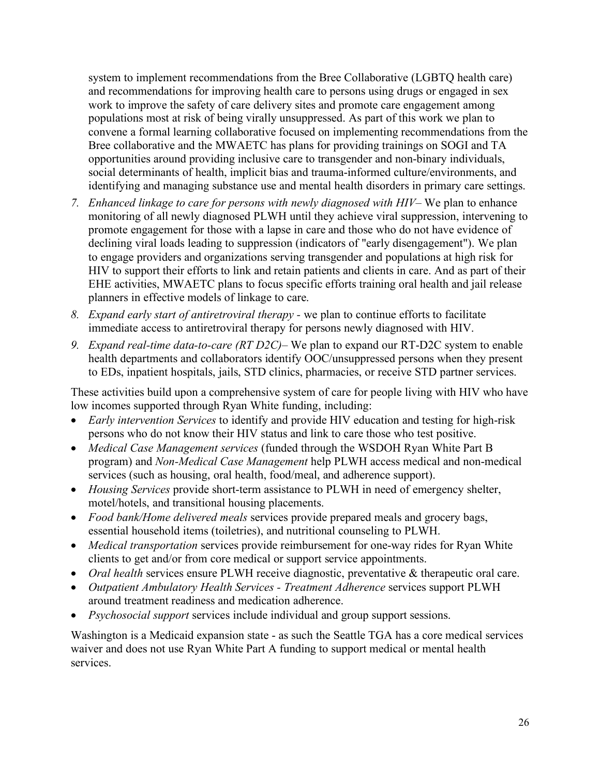system to implement recommendations from the Bree Collaborative (LGBTQ health care) and recommendations for improving health care to persons using drugs or engaged in sex work to improve the safety of care delivery sites and promote care engagement among populations most at risk of being virally unsuppressed. As part of this work we plan to convene a formal learning collaborative focused on implementing recommendations from the Bree collaborative and the MWAETC has plans for providing trainings on SOGI and TA opportunities around providing inclusive care to transgender and non-binary individuals, social determinants of health, implicit bias and trauma-informed culture/environments, and identifying and managing substance use and mental health disorders in primary care settings.

- *7. Enhanced linkage to care for persons with newly diagnosed with HIV–* We plan to enhance monitoring of all newly diagnosed PLWH until they achieve viral suppression, intervening to promote engagement for those with a lapse in care and those who do not have evidence of declining viral loads leading to suppression (indicators of "early disengagement"). We plan to engage providers and organizations serving transgender and populations at high risk for HIV to support their efforts to link and retain patients and clients in care. And as part of their EHE activities, MWAETC plans to focus specific efforts training oral health and jail release planners in effective models of linkage to care.
- *8. Expand early start of antiretroviral therapy -* we plan to continue efforts to facilitate immediate access to antiretroviral therapy for persons newly diagnosed with HIV.
- *9. Expand real-time data-to-care (RT D2C)–* We plan to expand our RT-D2C system to enable health departments and collaborators identify OOC/unsuppressed persons when they present to EDs, inpatient hospitals, jails, STD clinics, pharmacies, or receive STD partner services.

These activities build upon a comprehensive system of care for people living with HIV who have low incomes supported through Ryan White funding, including:

- *Early intervention Services* to identify and provide HIV education and testing for high-risk persons who do not know their HIV status and link to care those who test positive.
- *Medical Case Management services* (funded through the WSDOH Ryan White Part B program) and *Non-Medical Case Management* help PLWH access medical and non-medical services (such as housing, oral health, food/meal, and adherence support).
- *Housing Services* provide short-term assistance to PLWH in need of emergency shelter, motel/hotels, and transitional housing placements.
- *Food bank/Home delivered meals* services provide prepared meals and grocery bags, essential household items (toiletries), and nutritional counseling to PLWH.
- *Medical transportation* services provide reimbursement for one-way rides for Ryan White clients to get and/or from core medical or support service appointments.
- *Oral health* services ensure PLWH receive diagnostic, preventative & therapeutic oral care.
- *Outpatient Ambulatory Health Services - Treatment Adherence* services support PLWH around treatment readiness and medication adherence.
- *Psychosocial support* services include individual and group support sessions.

Washington is a Medicaid expansion state - as such the Seattle TGA has a core medical services waiver and does not use Ryan White Part A funding to support medical or mental health services.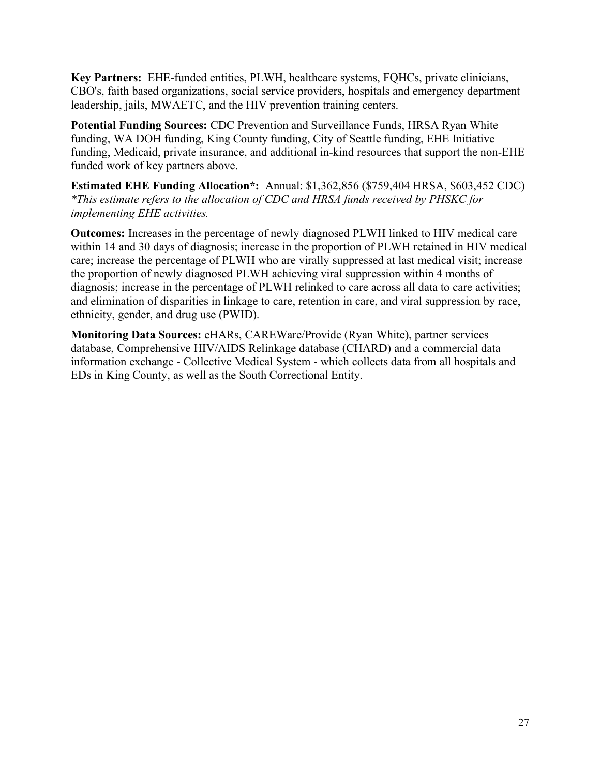**Key Partners:** EHE-funded entities, PLWH, healthcare systems, FQHCs, private clinicians, CBO's, faith based organizations, social service providers, hospitals and emergency department leadership, jails, MWAETC, and the HIV prevention training centers.

**Potential Funding Sources:** CDC Prevention and Surveillance Funds, HRSA Ryan White funding, WA DOH funding, King County funding, City of Seattle funding, EHE Initiative funding, Medicaid, private insurance, and additional in-kind resources that support the non-EHE funded work of key partners above.

**Estimated EHE Funding Allocation\*:** Annual: \$1,362,856 (\$759,404 HRSA, \$603,452 CDC) *\*This estimate refers to the allocation of CDC and HRSA funds received by PHSKC for implementing EHE activities.*

**Outcomes:** Increases in the percentage of newly diagnosed PLWH linked to HIV medical care within 14 and 30 days of diagnosis; increase in the proportion of PLWH retained in HIV medical care; increase the percentage of PLWH who are virally suppressed at last medical visit; increase the proportion of newly diagnosed PLWH achieving viral suppression within 4 months of diagnosis; increase in the percentage of PLWH relinked to care across all data to care activities; and elimination of disparities in linkage to care, retention in care, and viral suppression by race, ethnicity, gender, and drug use (PWID).

**Monitoring Data Sources:** eHARs, CAREWare/Provide (Ryan White), partner services database, Comprehensive HIV/AIDS Relinkage database (CHARD) and a commercial data information exchange - Collective Medical System - which collects data from all hospitals and EDs in King County, as well as the South Correctional Entity.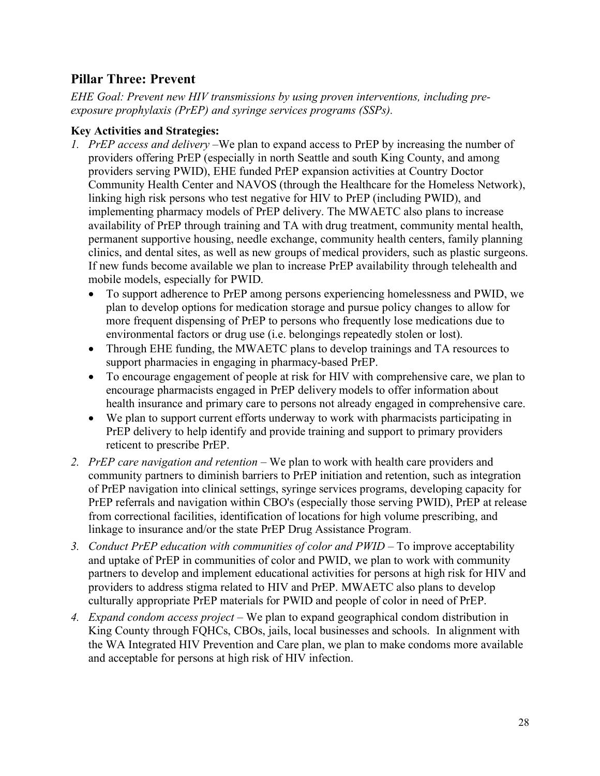# **Pillar Three: Prevent**

*EHE Goal: Prevent new HIV transmissions by using proven interventions, including preexposure prophylaxis (PrEP) and syringe services programs (SSPs).*

## **Key Activities and Strategies:**

- *1. PrEP access and delivery –*We plan to expand access to PrEP by increasing the number of providers offering PrEP (especially in north Seattle and south King County, and among providers serving PWID), EHE funded PrEP expansion activities at Country Doctor Community Health Center and NAVOS (through the Healthcare for the Homeless Network), linking high risk persons who test negative for HIV to PrEP (including PWID), and implementing pharmacy models of PrEP delivery. The MWAETC also plans to increase availability of PrEP through training and TA with drug treatment, community mental health, permanent supportive housing, needle exchange, community health centers, family planning clinics, and dental sites, as well as new groups of medical providers, such as plastic surgeons. If new funds become available we plan to increase PrEP availability through telehealth and mobile models, especially for PWID.
	- To support adherence to PrEP among persons experiencing homelessness and PWID, we plan to develop options for medication storage and pursue policy changes to allow for more frequent dispensing of PrEP to persons who frequently lose medications due to environmental factors or drug use (i.e. belongings repeatedly stolen or lost).
	- Through EHE funding, the MWAETC plans to develop trainings and TA resources to support pharmacies in engaging in pharmacy-based PrEP.
	- To encourage engagement of people at risk for HIV with comprehensive care, we plan to encourage pharmacists engaged in PrEP delivery models to offer information about health insurance and primary care to persons not already engaged in comprehensive care.
	- We plan to support current efforts underway to work with pharmacists participating in PrEP delivery to help identify and provide training and support to primary providers reticent to prescribe PrEP.
- *2. PrEP care navigation and retention –* We plan to work with health care providers and community partners to diminish barriers to PrEP initiation and retention, such as integration of PrEP navigation into clinical settings, syringe services programs, developing capacity for PrEP referrals and navigation within CBO's (especially those serving PWID), PrEP at release from correctional facilities, identification of locations for high volume prescribing, and linkage to insurance and/or the state PrEP Drug Assistance Program.
- *3. Conduct PrEP education with communities of color and PWID –* To improve acceptability and uptake of PrEP in communities of color and PWID, we plan to work with community partners to develop and implement educational activities for persons at high risk for HIV and providers to address stigma related to HIV and PrEP. MWAETC also plans to develop culturally appropriate PrEP materials for PWID and people of color in need of PrEP.
- *4. Expand condom access project –* We plan to expand geographical condom distribution in King County through FQHCs, CBOs, jails, local businesses and schools. In alignment with the WA Integrated HIV Prevention and Care plan, we plan to make condoms more available and acceptable for persons at high risk of HIV infection.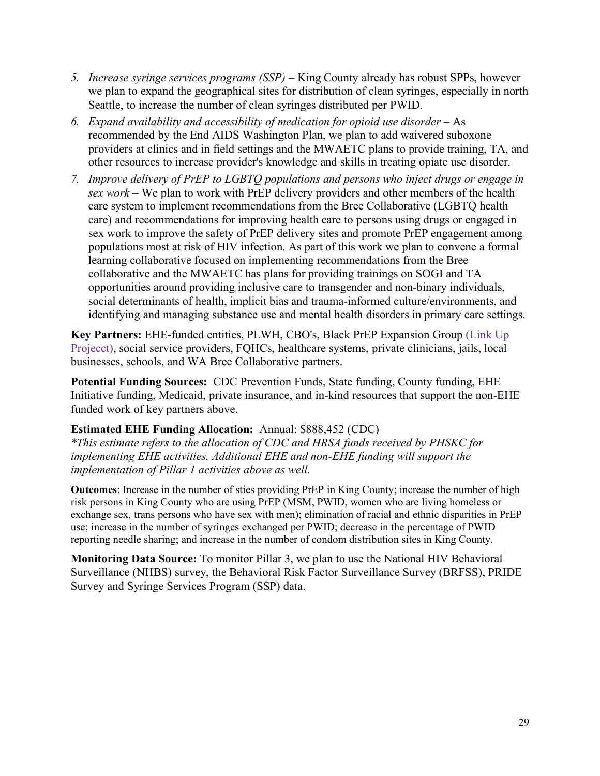- *5. Increase syringe services programs (SSP) –* King County already has robust SPPs, however we plan to expand the geographical sites for distribution of clean syringes, especially in north Seattle, to increase the number of clean syringes distributed per PWID.
- *6. Expand availability and accessibility of medication for opioid use disorder –* As recommended by the End AIDS Washington Plan, we plan to add waivered suboxone providers at clinics and in field settings and the MWAETC plans to provide training, TA, and other resources to increase provider's knowledge and skills in treating opiate use disorder.
- *7. Improve delivery of PrEP to LGBTQ populations and persons who inject drugs or engage in sex work –* We plan to work with PrEP delivery providers and other members of the health care system to implement recommendations from the Bree Collaborative (LGBTQ health care) and recommendations for improving health care to persons using drugs or engaged in sex work to improve the safety of PrEP delivery sites and promote PrEP engagement among populations most at risk of HIV infection. As part of this work we plan to convene a formal learning collaborative focused on implementing recommendations from the Bree collaborative and the MWAETC has plans for providing trainings on SOGI and TA opportunities around providing inclusive care to transgender and non-binary individuals, social determinants of health, implicit bias and trauma-informed culture/environments, and identifying and managing substance use and mental health disorders in primary care settings.

**Key Partners:** EHE-funded entities, PLWH, CBO's, Black PrEP Expansion Group (Link Up Projecct), social service providers, FQHCs, healthcare systems, private clinicians, jails, local businesses, schools, and WA Bree Collaborative partners.

**Potential Funding Sources:** CDC Prevention Funds, State funding, County funding, EHE Initiative funding, Medicaid, private insurance, and in-kind resources that support the non-EHE funded work of key partners above.

### **Estimated EHE Funding Allocation:** Annual: \$888,452 (CDC)

*\*This estimate refers to the allocation of CDC and HRSA funds received by PHSKC for implementing EHE activities. Additional EHE and non-EHE funding will support the implementation of Pillar 1 activities above as well.* 

**Outcomes**: Increase in the number of sties providing PrEP in King County; increase the number of high risk persons in King County who are using PrEP (MSM, PWID, women who are living homeless or exchange sex, trans persons who have sex with men); elimination of racial and ethnic disparities in PrEP use; increase in the number of syringes exchanged per PWID; decrease in the percentage of PWID reporting needle sharing; and increase in the number of condom distribution sites in King County.

**Monitoring Data Source:** To monitor Pillar 3, we plan to use the National HIV Behavioral Surveillance (NHBS) survey, the Behavioral Risk Factor Surveillance Survey (BRFSS), PRIDE Survey and Syringe Services Program (SSP) data.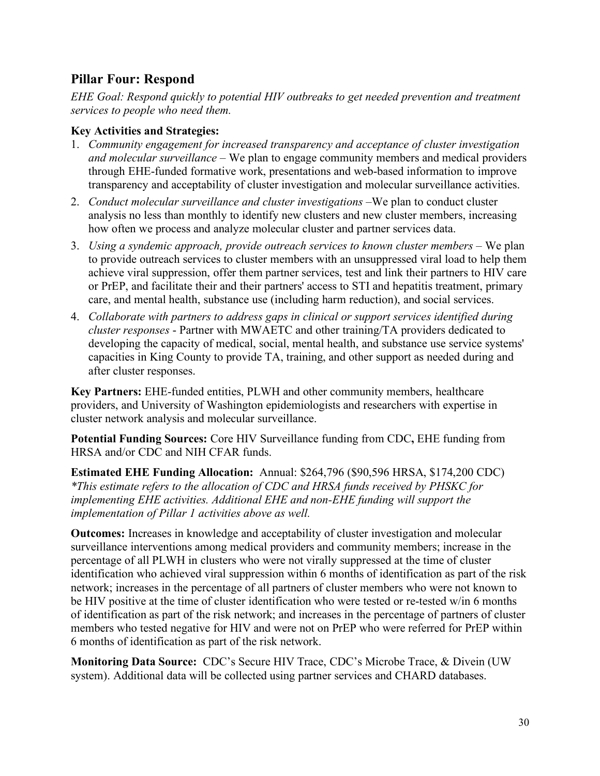# **Pillar Four: Respond**

*EHE Goal: Respond quickly to potential HIV outbreaks to get needed prevention and treatment services to people who need them.*

### **Key Activities and Strategies:**

- 1. *Community engagement for increased transparency and acceptance of cluster investigation and molecular surveillance –* We plan to engage community members and medical providers through EHE-funded formative work, presentations and web-based information to improve transparency and acceptability of cluster investigation and molecular surveillance activities.
- 2. *Conduct molecular surveillance and cluster investigations –*We plan to conduct cluster analysis no less than monthly to identify new clusters and new cluster members, increasing how often we process and analyze molecular cluster and partner services data.
- 3. *Using a syndemic approach, provide outreach services to known cluster members –* We plan to provide outreach services to cluster members with an unsuppressed viral load to help them achieve viral suppression, offer them partner services, test and link their partners to HIV care or PrEP, and facilitate their and their partners' access to STI and hepatitis treatment, primary care, and mental health, substance use (including harm reduction), and social services.
- 4. *Collaborate with partners to address gaps in clinical or support services identified during cluster responses* - Partner with MWAETC and other training/TA providers dedicated to developing the capacity of medical, social, mental health, and substance use service systems' capacities in King County to provide TA, training, and other support as needed during and after cluster responses.

**Key Partners:** EHE-funded entities, PLWH and other community members, healthcare providers, and University of Washington epidemiologists and researchers with expertise in cluster network analysis and molecular surveillance.

**Potential Funding Sources:** Core HIV Surveillance funding from CDC**,** EHE funding from HRSA and/or CDC and NIH CFAR funds.

**Estimated EHE Funding Allocation:** Annual: \$264,796 (\$90,596 HRSA, \$174,200 CDC) *\*This estimate refers to the allocation of CDC and HRSA funds received by PHSKC for implementing EHE activities. Additional EHE and non-EHE funding will support the implementation of Pillar 1 activities above as well.* 

**Outcomes:** Increases in knowledge and acceptability of cluster investigation and molecular surveillance interventions among medical providers and community members; increase in the percentage of all PLWH in clusters who were not virally suppressed at the time of cluster identification who achieved viral suppression within 6 months of identification as part of the risk network; increases in the percentage of all partners of cluster members who were not known to be HIV positive at the time of cluster identification who were tested or re-tested w/in 6 months of identification as part of the risk network; and increases in the percentage of partners of cluster members who tested negative for HIV and were not on PrEP who were referred for PrEP within 6 months of identification as part of the risk network.

**Monitoring Data Source:** CDC's Secure HIV Trace, CDC's Microbe Trace, & Divein (UW system). Additional data will be collected using partner services and CHARD databases.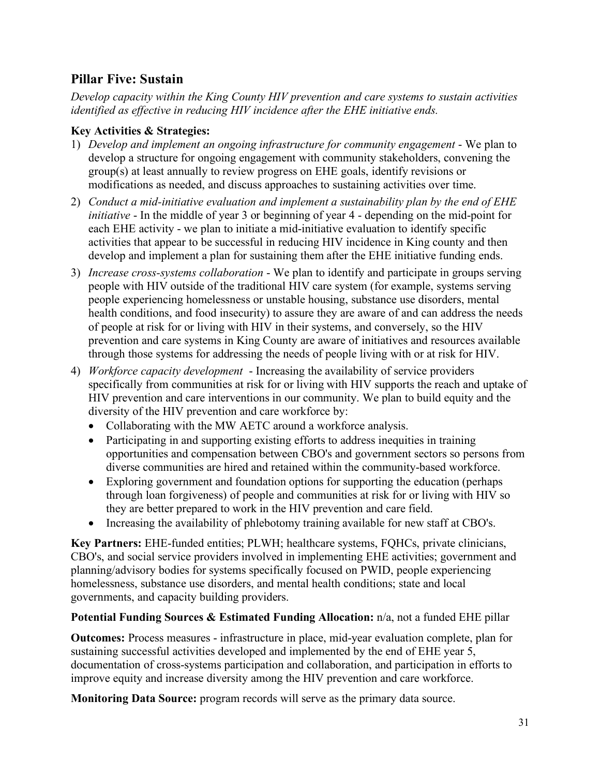# **Pillar Five: Sustain**

*Develop capacity within the King County HIV prevention and care systems to sustain activities identified as effective in reducing HIV incidence after the EHE initiative ends.*

# **Key Activities & Strategies:**

- 1) *Develop and implement an ongoing infrastructure for community engagement* We plan to develop a structure for ongoing engagement with community stakeholders, convening the group(s) at least annually to review progress on EHE goals, identify revisions or modifications as needed, and discuss approaches to sustaining activities over time.
- 2) *Conduct a mid-initiative evaluation and implement a sustainability plan by the end of EHE initiative* - In the middle of year 3 or beginning of year 4 - depending on the mid-point for each EHE activity - we plan to initiate a mid-initiative evaluation to identify specific activities that appear to be successful in reducing HIV incidence in King county and then develop and implement a plan for sustaining them after the EHE initiative funding ends.
- 3) *Increase cross-systems collaboration* We plan to identify and participate in groups serving people with HIV outside of the traditional HIV care system (for example, systems serving people experiencing homelessness or unstable housing, substance use disorders, mental health conditions, and food insecurity) to assure they are aware of and can address the needs of people at risk for or living with HIV in their systems, and conversely, so the HIV prevention and care systems in King County are aware of initiatives and resources available through those systems for addressing the needs of people living with or at risk for HIV.
- 4) *Workforce capacity development* Increasing the availability of service providers specifically from communities at risk for or living with HIV supports the reach and uptake of HIV prevention and care interventions in our community. We plan to build equity and the diversity of the HIV prevention and care workforce by:
	- Collaborating with the MW AETC around a workforce analysis.
	- Participating in and supporting existing efforts to address inequities in training opportunities and compensation between CBO's and government sectors so persons from diverse communities are hired and retained within the community-based workforce.
	- Exploring government and foundation options for supporting the education (perhaps through loan forgiveness) of people and communities at risk for or living with HIV so they are better prepared to work in the HIV prevention and care field.
	- Increasing the availability of phlebotomy training available for new staff at CBO's.

**Key Partners:** EHE-funded entities; PLWH; healthcare systems, FQHCs, private clinicians, CBO's, and social service providers involved in implementing EHE activities; government and planning/advisory bodies for systems specifically focused on PWID, people experiencing homelessness, substance use disorders, and mental health conditions; state and local governments, and capacity building providers.

# **Potential Funding Sources & Estimated Funding Allocation:** n/a, not a funded EHE pillar

**Outcomes:** Process measures - infrastructure in place, mid-year evaluation complete, plan for sustaining successful activities developed and implemented by the end of EHE year 5, documentation of cross-systems participation and collaboration, and participation in efforts to improve equity and increase diversity among the HIV prevention and care workforce.

**Monitoring Data Source:** program records will serve as the primary data source.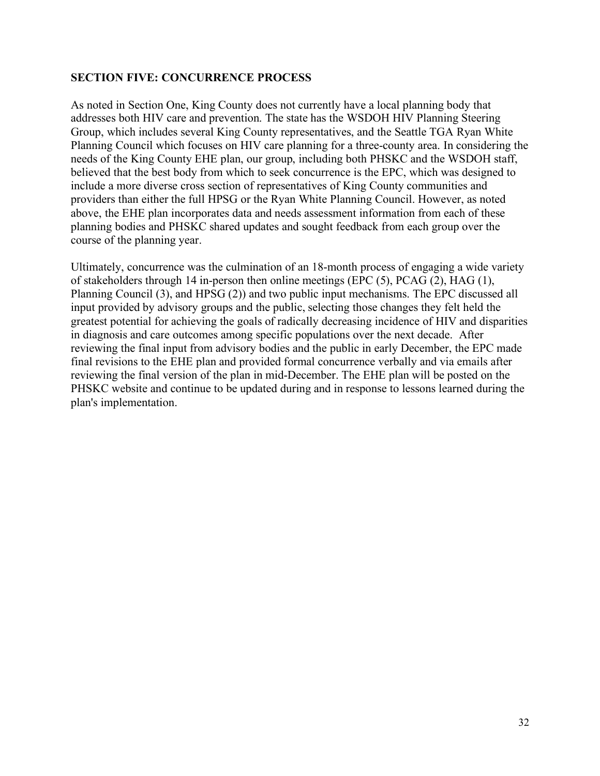### **SECTION FIVE: CONCURRENCE PROCESS**

As noted in Section One, King County does not currently have a local planning body that addresses both HIV care and prevention. The state has the WSDOH HIV Planning Steering Group, which includes several King County representatives, and the Seattle TGA Ryan White Planning Council which focuses on HIV care planning for a three-county area. In considering the needs of the King County EHE plan, our group, including both PHSKC and the WSDOH staff, believed that the best body from which to seek concurrence is the EPC, which was designed to include a more diverse cross section of representatives of King County communities and providers than either the full HPSG or the Ryan White Planning Council. However, as noted above, the EHE plan incorporates data and needs assessment information from each of these planning bodies and PHSKC shared updates and sought feedback from each group over the course of the planning year.

Ultimately, concurrence was the culmination of an 18-month process of engaging a wide variety of stakeholders through 14 in-person then online meetings (EPC (5), PCAG (2), HAG (1), Planning Council (3), and HPSG (2)) and two public input mechanisms. The EPC discussed all input provided by advisory groups and the public, selecting those changes they felt held the greatest potential for achieving the goals of radically decreasing incidence of HIV and disparities in diagnosis and care outcomes among specific populations over the next decade. After reviewing the final input from advisory bodies and the public in early December, the EPC made final revisions to the EHE plan and provided formal concurrence verbally and via emails after reviewing the final version of the plan in mid-December. The EHE plan will be posted on the PHSKC website and continue to be updated during and in response to lessons learned during the plan's implementation.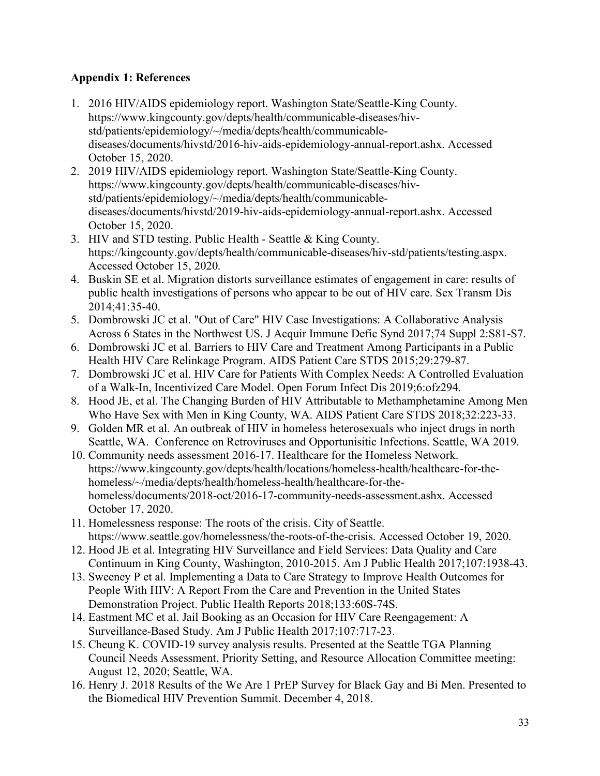# **Appendix 1: References**

- 1. 2016 HIV/AIDS epidemiology report. Washington State/Seattle-King County. https://www.kingcounty.gov/depts/health/communicable-diseases/hivstd/patients/epidemiology/~/media/depts/health/communicablediseases/documents/hivstd/2016-hiv-aids-epidemiology-annual-report.ashx. Accessed October 15, 2020.
- 2. 2019 HIV/AIDS epidemiology report. Washington State/Seattle-King County. https://www.kingcounty.gov/depts/health/communicable-diseases/hivstd/patients/epidemiology/~/media/depts/health/communicablediseases/documents/hivstd/2019-hiv-aids-epidemiology-annual-report.ashx. Accessed October 15, 2020.
- 3. HIV and STD testing. Public Health Seattle & King County. https://kingcounty.gov/depts/health/communicable-diseases/hiv-std/patients/testing.aspx. Accessed October 15, 2020.
- 4. Buskin SE et al. Migration distorts surveillance estimates of engagement in care: results of public health investigations of persons who appear to be out of HIV care. Sex Transm Dis 2014;41:35-40.
- 5. Dombrowski JC et al. "Out of Care" HIV Case Investigations: A Collaborative Analysis Across 6 States in the Northwest US. J Acquir Immune Defic Synd 2017;74 Suppl 2:S81-S7.
- 6. Dombrowski JC et al. Barriers to HIV Care and Treatment Among Participants in a Public Health HIV Care Relinkage Program. AIDS Patient Care STDS 2015;29:279-87.
- 7. Dombrowski JC et al. HIV Care for Patients With Complex Needs: A Controlled Evaluation of a Walk-In, Incentivized Care Model. Open Forum Infect Dis 2019;6:ofz294.
- 8. Hood JE, et al. The Changing Burden of HIV Attributable to Methamphetamine Among Men Who Have Sex with Men in King County, WA. AIDS Patient Care STDS 2018;32:223-33.
- 9. Golden MR et al. An outbreak of HIV in homeless heterosexuals who inject drugs in north Seattle, WA. Conference on Retroviruses and Opportunisitic Infections. Seattle, WA 2019.
- 10. Community needs assessment 2016-17. Healthcare for the Homeless Network. https://www.kingcounty.gov/depts/health/locations/homeless-health/healthcare-for-thehomeless/~/media/depts/health/homeless-health/healthcare-for-thehomeless/documents/2018-oct/2016-17-community-needs-assessment.ashx. Accessed October 17, 2020.
- 11. Homelessness response: The roots of the crisis. City of Seattle. https://www.seattle.gov/homelessness/the-roots-of-the-crisis. Accessed October 19, 2020.
- 12. Hood JE et al. Integrating HIV Surveillance and Field Services: Data Quality and Care Continuum in King County, Washington, 2010-2015. Am J Public Health 2017;107:1938-43.
- 13. Sweeney P et al. Implementing a Data to Care Strategy to Improve Health Outcomes for People With HIV: A Report From the Care and Prevention in the United States Demonstration Project. Public Health Reports 2018;133:60S-74S.
- 14. Eastment MC et al. Jail Booking as an Occasion for HIV Care Reengagement: A Surveillance-Based Study. Am J Public Health 2017;107:717-23.
- 15. Cheung K. COVID-19 survey analysis results. Presented at the Seattle TGA Planning Council Needs Assessment, Priority Setting, and Resource Allocation Committee meeting: August 12, 2020; Seattle, WA.
- 16. Henry J. 2018 Results of the We Are 1 PrEP Survey for Black Gay and Bi Men. Presented to the Biomedical HIV Prevention Summit. December 4, 2018.